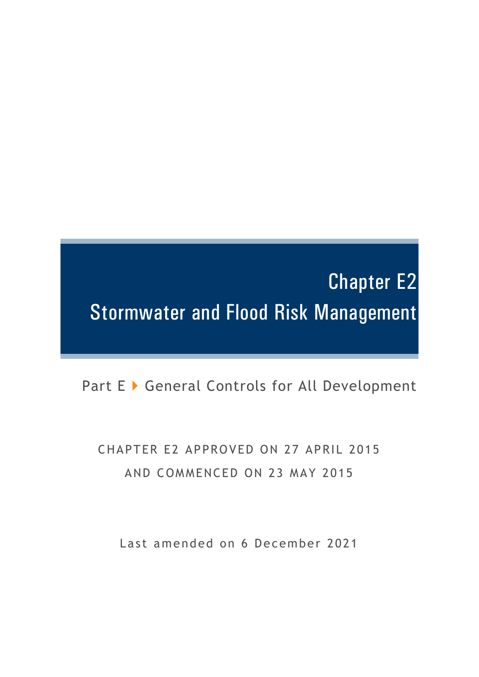# Chapter E2 Stormwater and Flood Risk Management

Part E ▶ General Controls for All Development

CHAPTER E2 APPROVED ON 27 APRIL 2015 AND COMMENCED ON 23 MAY 2015

Last amended on 6 December 2021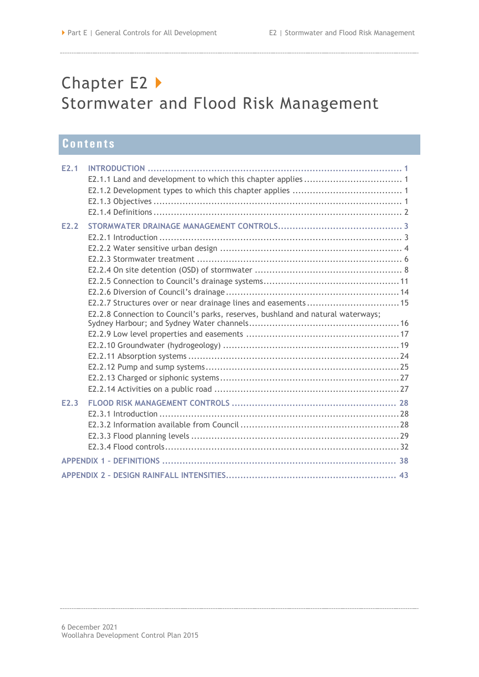## Chapter E2 ▶ Stormwater and Flood Risk Management

## **Contents**

| E2.1             |                                                                                                                                                   |
|------------------|---------------------------------------------------------------------------------------------------------------------------------------------------|
| E <sub>2.2</sub> | E2.2.7 Structures over or near drainage lines and easements 15<br>E2.2.8 Connection to Council's parks, reserves, bushland and natural waterways; |
| E <sub>2.3</sub> |                                                                                                                                                   |
|                  |                                                                                                                                                   |
|                  |                                                                                                                                                   |
|                  |                                                                                                                                                   |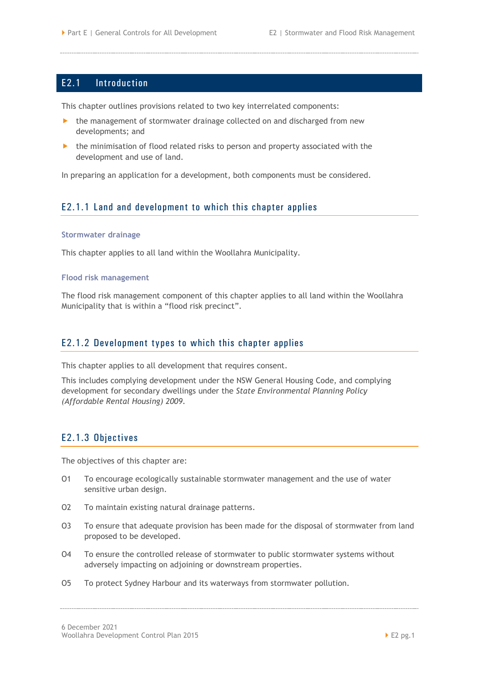## <span id="page-4-0"></span>E2.1 Introduction

This chapter outlines provisions related to two key interrelated components:

- the management of stormwater drainage collected on and discharged from new developments; and
- $\blacktriangleright$  the minimisation of flood related risks to person and property associated with the development and use of land.

In preparing an application for a development, both components must be considered.

## <span id="page-4-1"></span>E2.1.1 Land and development to which this chapter applies

#### **Stormwater drainage**

This chapter applies to all land within the Woollahra Municipality.

#### **Flood risk management**

The flood risk management component of this chapter applies to all land within the Woollahra Municipality that is within a "flood risk precinct".

#### <span id="page-4-2"></span>E2.1.2 Development types to which this chapter applies

This chapter applies to all development that requires consent.

This includes complying development under the NSW General Housing Code, and complying development for secondary dwellings under the *State Environmental Planning Policy (Affordable Rental Housing) 2009*.

## <span id="page-4-3"></span>E2.1.3 Objectives

The objectives of this chapter are:

- O1 To encourage ecologically sustainable stormwater management and the use of water sensitive urban design.
- O2 To maintain existing natural drainage patterns.
- O3 To ensure that adequate provision has been made for the disposal of stormwater from land proposed to be developed.
- O4 To ensure the controlled release of stormwater to public stormwater systems without adversely impacting on adjoining or downstream properties.
- O5 To protect Sydney Harbour and its waterways from stormwater pollution.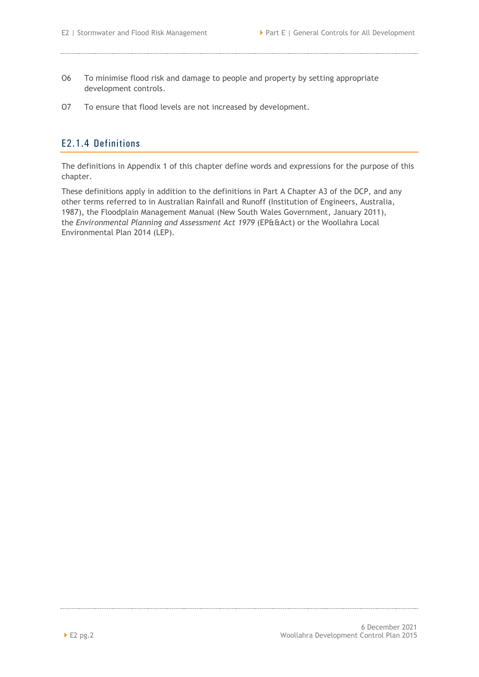- O6 To minimise flood risk and damage to people and property by setting appropriate development controls.
- O7 To ensure that flood levels are not increased by development.

## <span id="page-5-0"></span>E2.1.4 Definitions

The definitions in Appendix 1 of this chapter define words and expressions for the purpose of this chapter.

These definitions apply in addition to the definitions in Part A Chapter A3 of the DCP, and any other terms referred to in Australian Rainfall and Runoff (Institution of Engineers, Australia, 1987), the Floodplain Management Manual (New South Wales Government, January 2011), the *Environmental Planning and Assessment Act 1979* (EP&&Act) or the Woollahra Local Environmental Plan 2014 (LEP).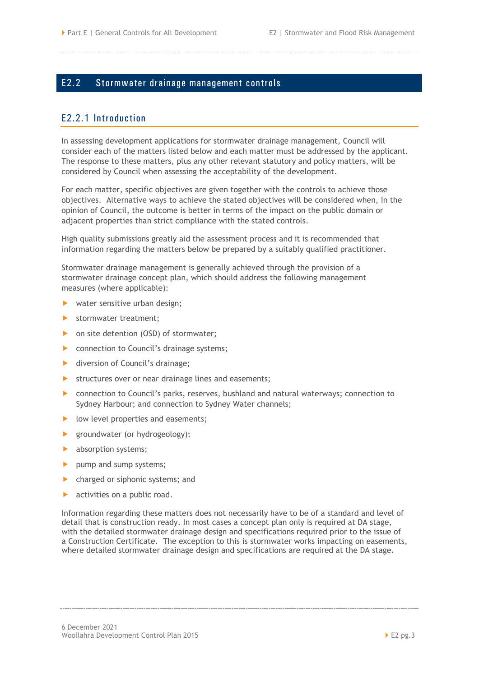## <span id="page-6-0"></span>E2.2 Stormwater drainage management controls

## <span id="page-6-1"></span>E2.2.1 Introduction

In assessing development applications for stormwater drainage management, Council will consider each of the matters listed below and each matter must be addressed by the applicant. The response to these matters, plus any other relevant statutory and policy matters, will be considered by Council when assessing the acceptability of the development.

For each matter, specific objectives are given together with the controls to achieve those objectives. Alternative ways to achieve the stated objectives will be considered when, in the opinion of Council, the outcome is better in terms of the impact on the public domain or adjacent properties than strict compliance with the stated controls.

High quality submissions greatly aid the assessment process and it is recommended that information regarding the matters below be prepared by a suitably qualified practitioner.

Stormwater drainage management is generally achieved through the provision of a stormwater drainage concept plan, which should address the following management measures (where applicable):

- water sensitive urban design;
- Stormwater treatment;
- ▶ on site detention (OSD) of stormwater;
- **De Connection to Council's drainage systems;**
- ▶ diversion of Council's drainage;
- **EXECUTE:** Structures over or near drainage lines and easements;
- connection to Council's parks, reserves, bushland and natural waterways; connection to Sydney Harbour; and connection to Sydney Water channels;
- $\blacktriangleright$  low level properties and easements;
- **P** groundwater (or hydrogeology);
- **b** absorption systems;
- pump and sump systems;
- **•** charged or siphonic systems; and
- **activities on a public road.**

Information regarding these matters does not necessarily have to be of a standard and level of detail that is construction ready. In most cases a concept plan only is required at DA stage, with the detailed stormwater drainage design and specifications required prior to the issue of a Construction Certificate. The exception to this is stormwater works impacting on easements, where detailed stormwater drainage design and specifications are required at the DA stage.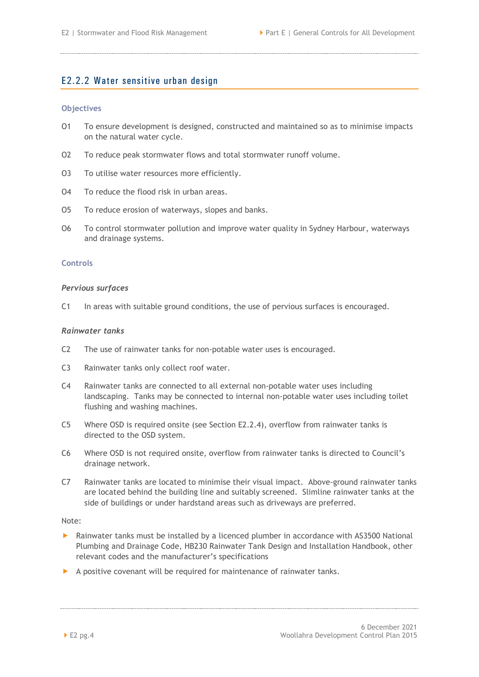## <span id="page-7-0"></span>E2.2.2 Water sensitive urban design

#### **Objectives**

- O1 To ensure development is designed, constructed and maintained so as to minimise impacts on the natural water cycle.
- O2 To reduce peak stormwater flows and total stormwater runoff volume.
- O3 To utilise water resources more efficiently.
- O4 To reduce the flood risk in urban areas.
- O5 To reduce erosion of waterways, slopes and banks.
- O6 To control stormwater pollution and improve water quality in Sydney Harbour, waterways and drainage systems.

#### **Controls**

#### *Pervious surfaces*

C1 In areas with suitable ground conditions, the use of pervious surfaces is encouraged.

#### *Rainwater tanks*

- C2 The use of rainwater tanks for non-potable water uses is encouraged.
- C3 Rainwater tanks only collect roof water.
- C4 Rainwater tanks are connected to all external non-potable water uses including landscaping. Tanks may be connected to internal non-potable water uses including toilet flushing and washing machines.
- C5 Where OSD is required onsite (see Section [E2.2.4\)](#page-11-0), overflow from rainwater tanks is directed to the OSD system.
- C6 Where OSD is not required onsite, overflow from rainwater tanks is directed to Council's drainage network.
- C7 Rainwater tanks are located to minimise their visual impact. Above-ground rainwater tanks are located behind the building line and suitably screened. Slimline rainwater tanks at the side of buildings or under hardstand areas such as driveways are preferred.

#### Note:

- Rainwater tanks must be installed by a licenced plumber in accordance with AS3500 National Plumbing and Drainage Code, HB230 Rainwater Tank Design and Installation Handbook, other relevant codes and the manufacturer's specifications
- A positive covenant will be required for maintenance of rainwater tanks.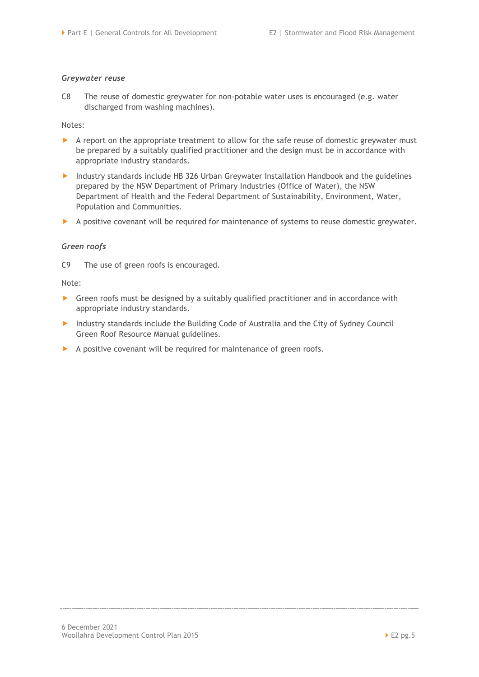#### *Greywater reuse*

C8 The reuse of domestic greywater for non-potable water uses is encouraged (e.g. water discharged from washing machines).

#### Notes:

- A report on the appropriate treatment to allow for the safe reuse of domestic greywater must be prepared by a suitably qualified practitioner and the design must be in accordance with appropriate industry standards.
- Industry standards include HB 326 Urban Greywater Installation Handbook and the guidelines prepared by the NSW Department of Primary Industries (Office of Water), the NSW Department of Health and the Federal Department of Sustainability, Environment, Water, Population and Communities.
- A positive covenant will be required for maintenance of systems to reuse domestic greywater.

#### *Green roofs*

C9 The use of green roofs is encouraged.

#### Note:

- Green roofs must be designed by a suitably qualified practitioner and in accordance with appropriate industry standards.
- Industry standards include the Building Code of Australia and the City of Sydney Council Green Roof Resource Manual guidelines.
- A positive covenant will be required for maintenance of green roofs.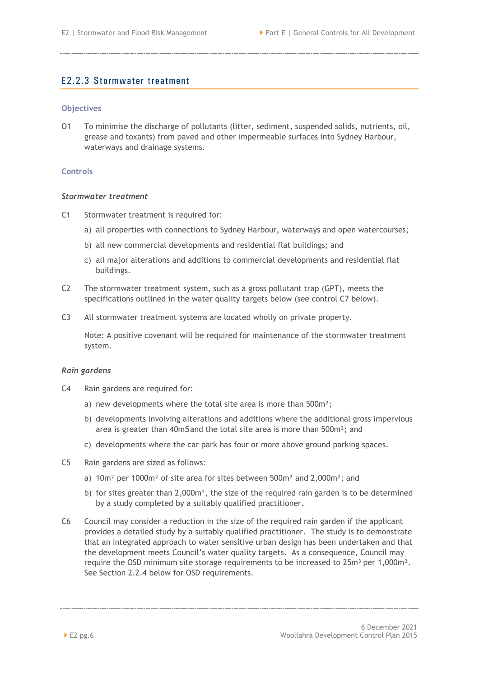## <span id="page-9-0"></span>E2.2.3 Stormwater treatment

#### **Objectives**

O1 To minimise the discharge of pollutants (litter, sediment, suspended solids, nutrients, oil, grease and toxants) from paved and other impermeable surfaces into Sydney Harbour, waterways and drainage systems.

#### **Controls**

#### *Stormwater treatment*

- C1 Stormwater treatment is required for:
	- a) all properties with connections to Sydney Harbour, waterways and open watercourses;
	- b) all new commercial developments and residential flat buildings; and
	- c) all major alterations and additions to commercial developments and residential flat buildings.
- C2 The stormwater treatment system, such as a gross pollutant trap (GPT), meets the specifications outlined in the water quality targets below (see control C7 below).
- C3 All stormwater treatment systems are located wholly on private property.

Note: A positive covenant will be required for maintenance of the stormwater treatment system.

#### *Rain gardens*

- C4 Rain gardens are required for:
	- a) new developments where the total site area is more than 500m²;
	- b) developments involving alterations and additions where the additional gross impervious area is greater than 40m5 and the total site area is more than 500m²; and
	- c) developments where the car park has four or more above ground parking spaces.
- C5 Rain gardens are sized as follows:
	- a) 10m² per 1000m² of site area for sites between 500m² and 2,000m²; and
	- b) for sites greater than 2,000m², the size of the required rain garden is to be determined by a study completed by a suitably qualified practitioner.
- C6 Council may consider a reduction in the size of the required rain garden if the applicant provides a detailed study by a suitably qualified practitioner. The study is to demonstrate that an integrated approach to water sensitive urban design has been undertaken and that the development meets Council's water quality targets. As a consequence, Council may require the OSD minimum site storage requirements to be increased to  $25m<sup>3</sup>$  per 1,000m<sup>2</sup>. See Section 2.2.4 below for OSD requirements.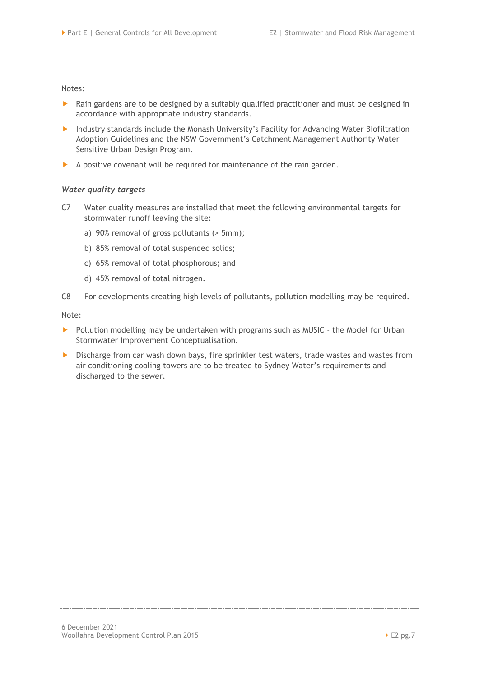Notes:

- $\blacktriangleright$  Rain gardens are to be designed by a suitably qualified practitioner and must be designed in accordance with appropriate industry standards.
- Industry standards include the Monash University's Facility for Advancing Water Biofiltration Adoption Guidelines and the NSW Government's Catchment Management Authority Water Sensitive Urban Design Program.
- $\blacktriangleright$  A positive covenant will be required for maintenance of the rain garden.

#### *Water quality targets*

- C7 Water quality measures are installed that meet the following environmental targets for stormwater runoff leaving the site:
	- a) 90% removal of gross pollutants (> 5mm);
	- b) 85% removal of total suspended solids;
	- c) 65% removal of total phosphorous; and
	- d) 45% removal of total nitrogen.
- C8 For developments creating high levels of pollutants, pollution modelling may be required.

Note:

- Pollution modelling may be undertaken with programs such as MUSIC the Model for Urban Stormwater Improvement Conceptualisation.
- Discharge from car wash down bays, fire sprinkler test waters, trade wastes and wastes from air conditioning cooling towers are to be treated to Sydney Water's requirements and discharged to the sewer.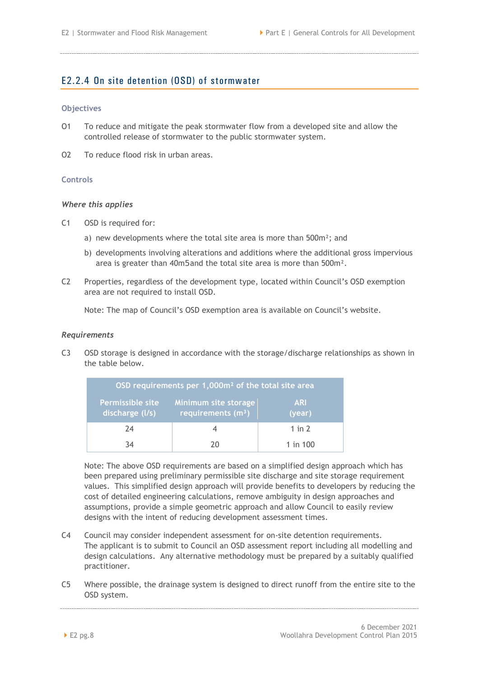## <span id="page-11-0"></span>E2.2.4 On site detention (OSD) of stormwater

#### **Objectives**

- O1 To reduce and mitigate the peak stormwater flow from a developed site and allow the controlled release of stormwater to the public stormwater system.
- O2 To reduce flood risk in urban areas.

#### **Controls**

#### *Where this applies*

- C1 OSD is required for:
	- a) new developments where the total site area is more than 500m²; and
	- b) developments involving alterations and additions where the additional gross impervious area is greater than 40m5 and the total site area is more than 500m².
- C2 Properties, regardless of the development type, located within Council's OSD exemption area are not required to install OSD.

Note: The map of Council's OSD exemption area is available on Council's website.

#### *Requirements*

C3 OSD storage is designed in accordance with the storage/discharge relationships as shown in the table below.

| OSD requirements per 1,000m <sup>2</sup> of the total site area |                                             |                      |  |  |  |  |  |
|-----------------------------------------------------------------|---------------------------------------------|----------------------|--|--|--|--|--|
| <b>Permissible site</b><br>discharge (I/s)                      | Minimum site storage<br>requirements $(m3)$ | <b>ARI</b><br>(year) |  |  |  |  |  |
| 74                                                              |                                             | 1 in $2$             |  |  |  |  |  |
| ₹4                                                              |                                             | 1 in 100             |  |  |  |  |  |

Note: The above OSD requirements are based on a simplified design approach which has been prepared using preliminary permissible site discharge and site storage requirement values. This simplified design approach will provide benefits to developers by reducing the cost of detailed engineering calculations, remove ambiguity in design approaches and assumptions, provide a simple geometric approach and allow Council to easily review designs with the intent of reducing development assessment times.

- C4 Council may consider independent assessment for on-site detention requirements. The applicant is to submit to Council an OSD assessment report including all modelling and design calculations. Any alternative methodology must be prepared by a suitably qualified practitioner.
- C5 Where possible, the drainage system is designed to direct runoff from the entire site to the OSD system.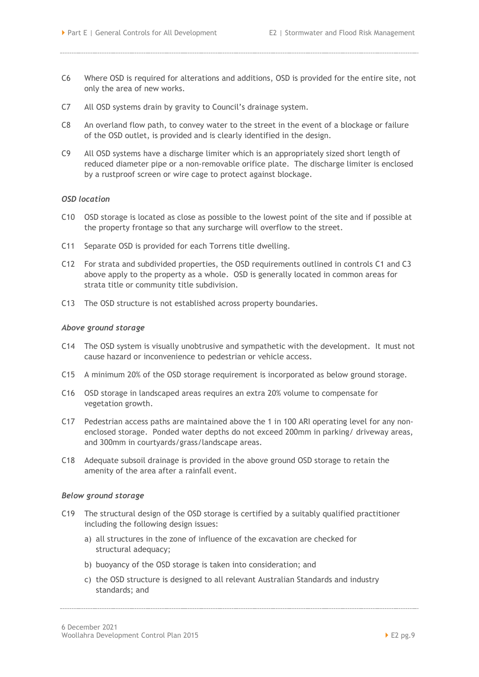- C6 Where OSD is required for alterations and additions, OSD is provided for the entire site, not only the area of new works.
- C7 All OSD systems drain by gravity to Council's drainage system.
- C8 An overland flow path, to convey water to the street in the event of a blockage or failure of the OSD outlet, is provided and is clearly identified in the design.
- C9 All OSD systems have a discharge limiter which is an appropriately sized short length of reduced diameter pipe or a non-removable orifice plate. The discharge limiter is enclosed by a rustproof screen or wire cage to protect against blockage.

#### *OSD location*

- C10 OSD storage is located as close as possible to the lowest point of the site and if possible at the property frontage so that any surcharge will overflow to the street.
- C11 Separate OSD is provided for each Torrens title dwelling.
- C12 For strata and subdivided properties, the OSD requirements outlined in controls C1 and C3 above apply to the property as a whole. OSD is generally located in common areas for strata title or community title subdivision.
- C13 The OSD structure is not established across property boundaries.

#### *Above ground storage*

- C14 The OSD system is visually unobtrusive and sympathetic with the development. It must not cause hazard or inconvenience to pedestrian or vehicle access.
- C15 A minimum 20% of the OSD storage requirement is incorporated as below ground storage.
- C16 OSD storage in landscaped areas requires an extra 20% volume to compensate for vegetation growth.
- C17 Pedestrian access paths are maintained above the 1 in 100 ARI operating level for any nonenclosed storage. Ponded water depths do not exceed 200mm in parking/ driveway areas, and 300mm in courtyards/grass/landscape areas.
- C18 Adequate subsoil drainage is provided in the above ground OSD storage to retain the amenity of the area after a rainfall event.

#### *Below ground storage*

- C19 The structural design of the OSD storage is certified by a suitably qualified practitioner including the following design issues:
	- a) all structures in the zone of influence of the excavation are checked for structural adequacy;
	- b) buoyancy of the OSD storage is taken into consideration; and
	- c) the OSD structure is designed to all relevant Australian Standards and industry standards; and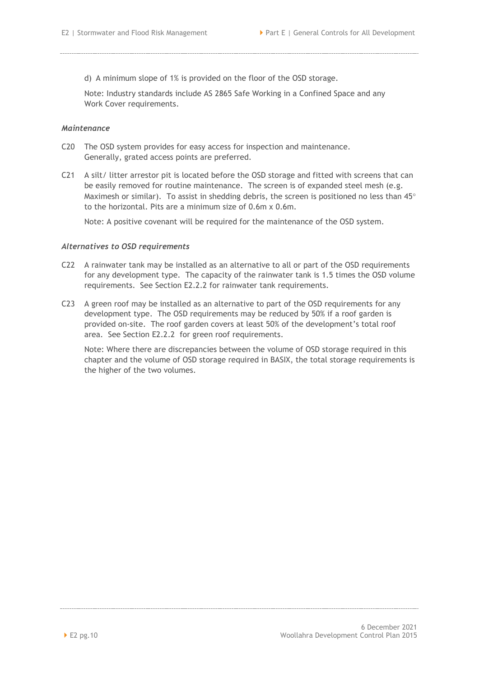d) A minimum slope of 1% is provided on the floor of the OSD storage.

Note: Industry standards include AS 2865 Safe Working in a Confined Space and any Work Cover requirements.

#### *Maintenance*

- C20 The OSD system provides for easy access for inspection and maintenance. Generally, grated access points are preferred.
- C21 A silt/ litter arrestor pit is located before the OSD storage and fitted with screens that can be easily removed for routine maintenance. The screen is of expanded steel mesh (e.g. Maximesh or similar). To assist in shedding debris, the screen is positioned no less than  $45^{\circ}$ to the horizontal. Pits are a minimum size of 0.6m x 0.6m.

Note: A positive covenant will be required for the maintenance of the OSD system.

#### *Alternatives to OSD requirements*

- C22 A rainwater tank may be installed as an alternative to all or part of the OSD requirements for any development type. The capacity of the rainwater tank is 1.5 times the OSD volume requirements. See Section [E2.2.2](#page-7-0) for rainwater tank requirements.
- C23 A green roof may be installed as an alternative to part of the OSD requirements for any development type. The OSD requirements may be reduced by 50% if a roof garden is provided on-site. The roof garden covers at least 50% of the development's total roof area. See Section [E2.2.2](#page-7-0) for green roof requirements.

Note: Where there are discrepancies between the volume of OSD storage required in this chapter and the volume of OSD storage required in BASIX, the total storage requirements is the higher of the two volumes.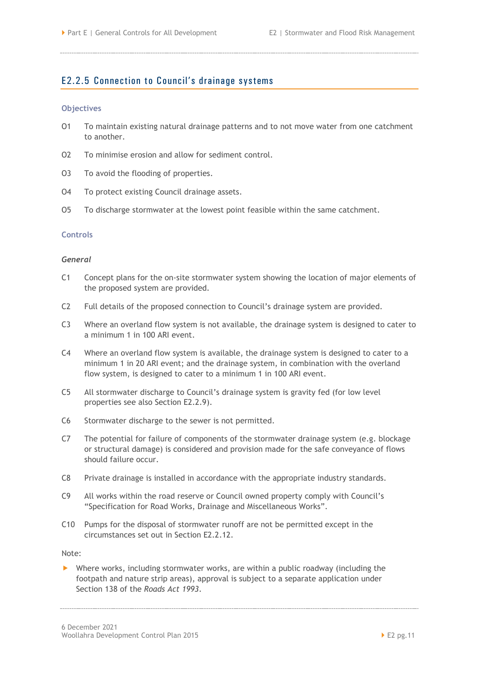## <span id="page-14-0"></span>E2.2.5 Connection to Council's drainage systems

#### **Objectives**

- O1 To maintain existing natural drainage patterns and to not move water from one catchment to another.
- O2 To minimise erosion and allow for sediment control.
- O3 To avoid the flooding of properties.
- O4 To protect existing Council drainage assets.
- O5 To discharge stormwater at the lowest point feasible within the same catchment.

#### **Controls**

#### *General*

- C1 Concept plans for the on-site stormwater system showing the location of major elements of the proposed system are provided.
- C2 Full details of the proposed connection to Council's drainage system are provided.
- C3 Where an overland flow system is not available, the drainage system is designed to cater to a minimum 1 in 100 ARI event.
- C4 Where an overland flow system is available, the drainage system is designed to cater to a minimum 1 in 20 ARI event; and the drainage system, in combination with the overland flow system, is designed to cater to a minimum 1 in 100 ARI event.
- C5 All stormwater discharge to Council's drainage system is gravity fed (for low level properties see also Section [E2.2.9\)](#page-20-0).
- C6 Stormwater discharge to the sewer is not permitted.
- C7 The potential for failure of components of the stormwater drainage system (e.g. blockage or structural damage) is considered and provision made for the safe conveyance of flows should failure occur.
- C8 Private drainage is installed in accordance with the appropriate industry standards.
- C9 All works within the road reserve or Council owned property comply with Council's "Specification for Road Works, Drainage and Miscellaneous Works".
- C10 Pumps for the disposal of stormwater runoff are not be permitted except in the circumstances set out in Section [E2.2.12.](#page-28-0)

Note:

 Where works, including stormwater works, are within a public roadway (including the footpath and nature strip areas), approval is subject to a separate application under Section 138 of the *Roads Act 1993*.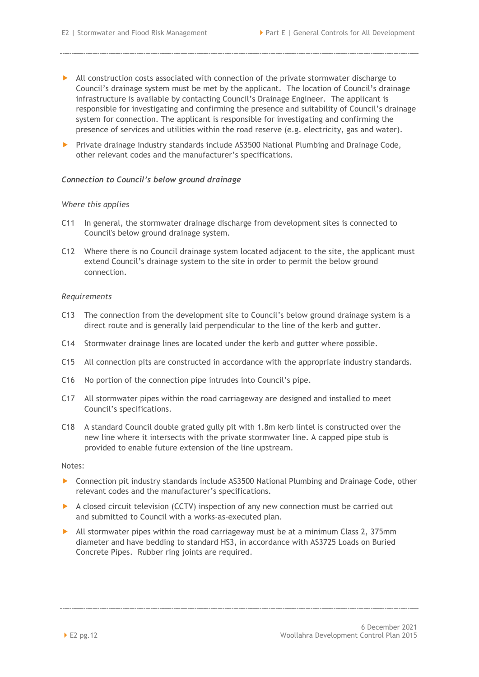- All construction costs associated with connection of the private stormwater discharge to Council's drainage system must be met by the applicant. The location of Council's drainage infrastructure is available by contacting Council's Drainage Engineer. The applicant is responsible for investigating and confirming the presence and suitability of Council's drainage system for connection. The applicant is responsible for investigating and confirming the presence of services and utilities within the road reserve (e.g. electricity, gas and water).
- Private drainage industry standards include AS3500 National Plumbing and Drainage Code, other relevant codes and the manufacturer's specifications.

#### *Connection to Council's below ground drainage*

#### *Where this applies*

- C11 In general, the stormwater drainage discharge from development sites is connected to Council's below ground drainage system*.*
- C12 Where there is no Council drainage system located adjacent to the site, the applicant must extend Council's drainage system to the site in order to permit the below ground connection.

#### *Requirements*

- C13 The connection from the development site to Council's below ground drainage system is a direct route and is generally laid perpendicular to the line of the kerb and gutter.
- C14 Stormwater drainage lines are located under the kerb and gutter where possible.
- C15 All connection pits are constructed in accordance with the appropriate industry standards.
- C16 No portion of the connection pipe intrudes into Council's pipe.
- C17 All stormwater pipes within the road carriageway are designed and installed to meet Council's specifications.
- C18 A standard Council double grated gully pit with 1.8m kerb lintel is constructed over the new line where it intersects with the private stormwater line. A capped pipe stub is provided to enable future extension of the line upstream.

Notes:

- Connection pit industry standards include AS3500 National Plumbing and Drainage Code, other relevant codes and the manufacturer's specifications.
- A closed circuit television (CCTV) inspection of any new connection must be carried out and submitted to Council with a works-as-executed plan.
- All stormwater pipes within the road carriageway must be at a minimum Class 2, 375mm diameter and have bedding to standard HS3, in accordance with AS3725 Loads on Buried Concrete Pipes. Rubber ring joints are required.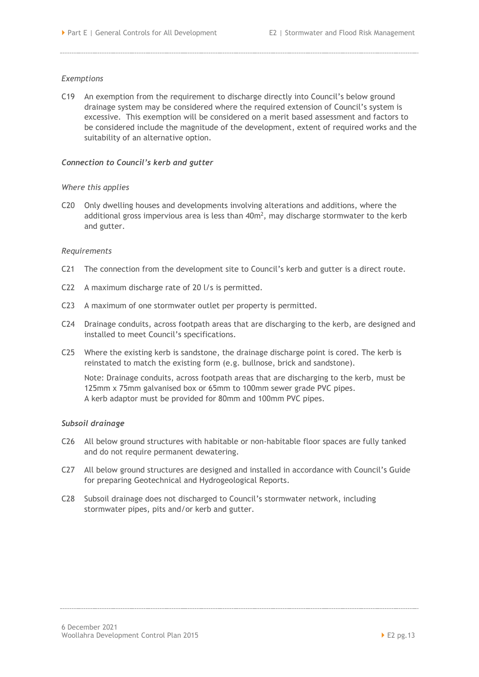#### *Exemptions*

C19 An exemption from the requirement to discharge directly into Council's below ground drainage system may be considered where the required extension of Council's system is excessive. This exemption will be considered on a merit based assessment and factors to be considered include the magnitude of the development, extent of required works and the suitability of an alternative option.

#### *Connection to Council's kerb and gutter*

#### *Where this applies*

C20 Only dwelling houses and developments involving alterations and additions, where the additional gross impervious area is less than  $40m^2$ , may discharge stormwater to the kerb and gutter.

#### *Requirements*

- C21 The connection from the development site to Council's kerb and gutter is a direct route.
- C22 A maximum discharge rate of 20 l/s is permitted.
- C23 A maximum of one stormwater outlet per property is permitted.
- C24 Drainage conduits, across footpath areas that are discharging to the kerb, are designed and installed to meet Council's specifications.
- C25 Where the existing kerb is sandstone, the drainage discharge point is cored. The kerb is reinstated to match the existing form (e.g. bullnose, brick and sandstone).

Note: Drainage conduits, across footpath areas that are discharging to the kerb, must be 125mm x 75mm galvanised box or 65mm to 100mm sewer grade PVC pipes. A kerb adaptor must be provided for 80mm and 100mm PVC pipes.

#### *Subsoil drainage*

- C26 All below ground structures with habitable or non-habitable floor spaces are fully tanked and do not require permanent dewatering.
- C27 All below ground structures are designed and installed in accordance with Council's Guide for preparing Geotechnical and Hydrogeological Reports.
- C28 Subsoil drainage does not discharged to Council's stormwater network, including stormwater pipes, pits and/or kerb and gutter.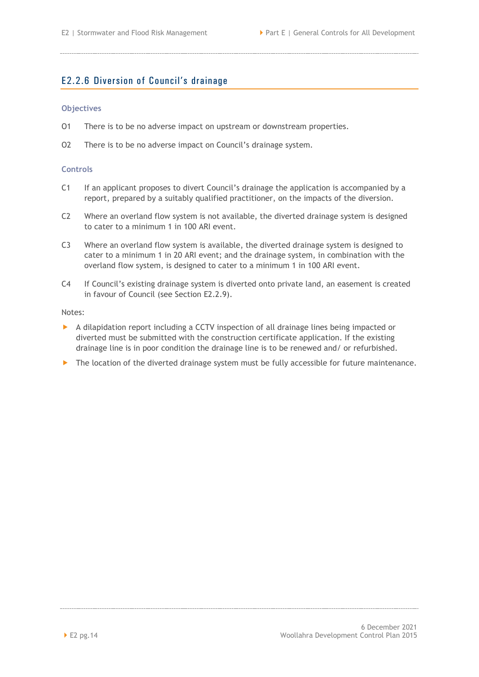## <span id="page-17-0"></span>E2.2.6 Diversion of Council's drainage

#### **Objectives**

- O1 There is to be no adverse impact on upstream or downstream properties.
- O2 There is to be no adverse impact on Council's drainage system.

#### **Controls**

- C1 If an applicant proposes to divert Council's drainage the application is accompanied by a report, prepared by a suitably qualified practitioner, on the impacts of the diversion.
- C2 Where an overland flow system is not available, the diverted drainage system is designed to cater to a minimum 1 in 100 ARI event.
- C3 Where an overland flow system is available, the diverted drainage system is designed to cater to a minimum 1 in 20 ARI event; and the drainage system, in combination with the overland flow system, is designed to cater to a minimum 1 in 100 ARI event.
- C4 If Council's existing drainage system is diverted onto private land, an easement is created in favour of Council (see Section [E2.2.9\)](#page-20-0).

Notes:

- A dilapidation report including a CCTV inspection of all drainage lines being impacted or diverted must be submitted with the construction certificate application. If the existing drainage line is in poor condition the drainage line is to be renewed and/ or refurbished.
- The location of the diverted drainage system must be fully accessible for future maintenance.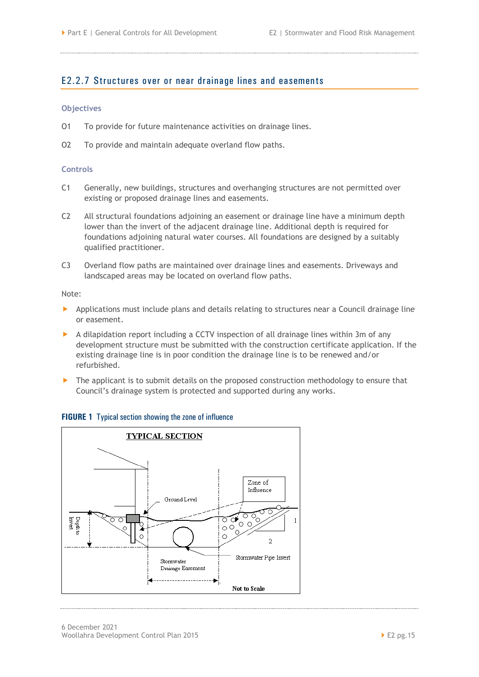## <span id="page-18-0"></span>E2.2.7 Structures over or near drainage lines and easements

#### **Objectives**

- O1 To provide for future maintenance activities on drainage lines.
- O2 To provide and maintain adequate overland flow paths.

#### **Controls**

- C1 Generally, new buildings, structures and overhanging structures are not permitted over existing or proposed drainage lines and easements.
- C2 All structural foundations adjoining an easement or drainage line have a minimum depth lower than the invert of the adjacent drainage line. Additional depth is required for foundations adjoining natural water courses. All foundations are designed by a suitably qualified practitioner.
- C3 Overland flow paths are maintained over drainage lines and easements. Driveways and landscaped areas may be located on overland flow paths.

Note:

- **Applications must include plans and details relating to structures near a Council drainage line** or easement.
- A dilapidation report including a CCTV inspection of all drainage lines within 3m of any development structure must be submitted with the construction certificate application. If the existing drainage line is in poor condition the drainage line is to be renewed and/or refurbished.
- **The applicant is to submit details on the proposed construction methodology to ensure that** Council's drainage system is protected and supported during any works.

#### **FIGURE 1** Typical section showing the zone of influence

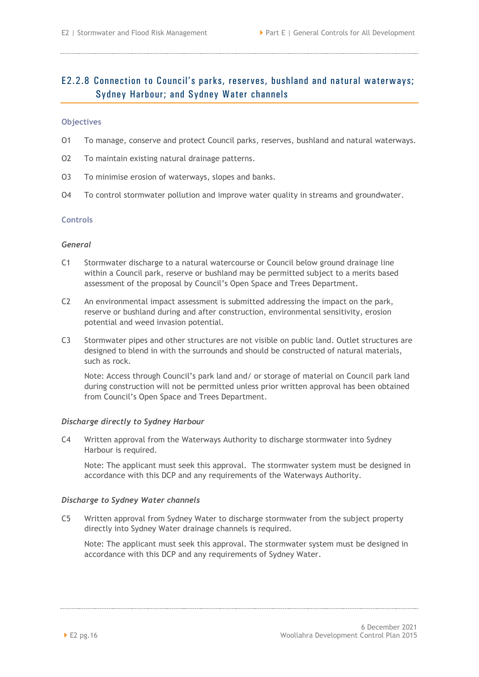## <span id="page-19-0"></span>E2.2.8 Connection to Council's parks, reserves, bushland and natural waterways; Sydney Harbour; and Sydney Water channels

#### **Objectives**

- O1 To manage, conserve and protect Council parks, reserves, bushland and natural waterways.
- O2 To maintain existing natural drainage patterns.
- O3 To minimise erosion of waterways, slopes and banks.
- O4 To control stormwater pollution and improve water quality in streams and groundwater.

#### **Controls**

#### *General*

- C1 Stormwater discharge to a natural watercourse or Council below ground drainage line within a Council park, reserve or bushland may be permitted subject to a merits based assessment of the proposal by Council's Open Space and Trees Department.
- C2 An environmental impact assessment is submitted addressing the impact on the park, reserve or bushland during and after construction, environmental sensitivity, erosion potential and weed invasion potential.
- C3 Stormwater pipes and other structures are not visible on public land. Outlet structures are designed to blend in with the surrounds and should be constructed of natural materials, such as rock.

Note: Access through Council's park land and/ or storage of material on Council park land during construction will not be permitted unless prior written approval has been obtained from Council's Open Space and Trees Department.

#### *Discharge directly to Sydney Harbour*

C4 Written approval from the Waterways Authority to discharge stormwater into Sydney Harbour is required.

Note: The applicant must seek this approval. The stormwater system must be designed in accordance with this DCP and any requirements of the Waterways Authority.

#### *Discharge to Sydney Water channels*

C5 Written approval from Sydney Water to discharge stormwater from the subject property directly into Sydney Water drainage channels is required.

Note: The applicant must seek this approval. The stormwater system must be designed in accordance with this DCP and any requirements of Sydney Water.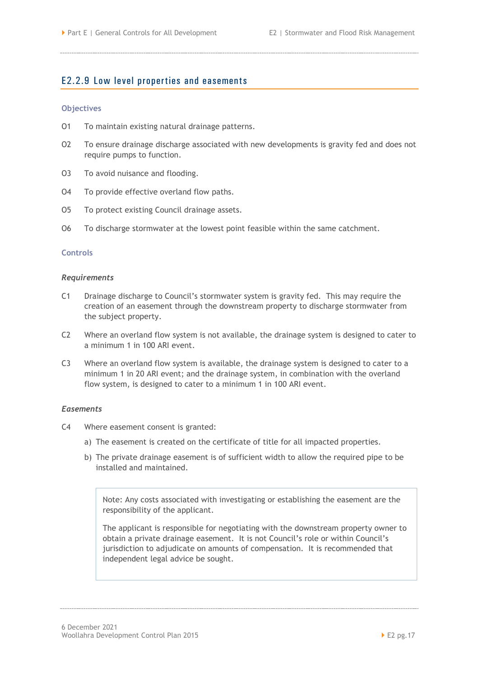## <span id="page-20-0"></span>E2.2.9 Low level properties and easements

#### **Objectives**

- O1 To maintain existing natural drainage patterns.
- O2 To ensure drainage discharge associated with new developments is gravity fed and does not require pumps to function.
- O3 To avoid nuisance and flooding.
- O4 To provide effective overland flow paths.
- O5 To protect existing Council drainage assets.
- O6 To discharge stormwater at the lowest point feasible within the same catchment.

#### **Controls**

#### *Requirements*

- C1 Drainage discharge to Council's stormwater system is gravity fed. This may require the creation of an easement through the downstream property to discharge stormwater from the subject property.
- C2 Where an overland flow system is not available, the drainage system is designed to cater to a minimum 1 in 100 ARI event.
- C3 Where an overland flow system is available, the drainage system is designed to cater to a minimum 1 in 20 ARI event; and the drainage system, in combination with the overland flow system, is designed to cater to a minimum 1 in 100 ARI event.

#### *Easements*

- C4 Where easement consent is granted:
	- a) The easement is created on the certificate of title for all impacted properties.
	- b) The private drainage easement is of sufficient width to allow the required pipe to be installed and maintained.

Note: Any costs associated with investigating or establishing the easement are the responsibility of the applicant.

The applicant is responsible for negotiating with the downstream property owner to obtain a private drainage easement. It is not Council's role or within Council's jurisdiction to adjudicate on amounts of compensation. It is recommended that independent legal advice be sought.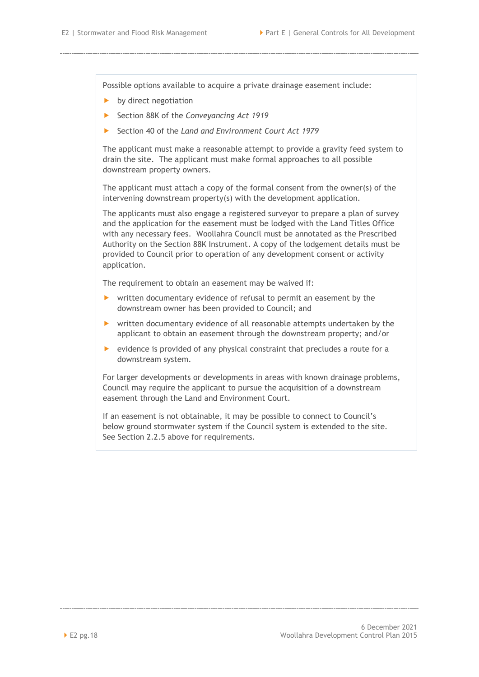Possible options available to acquire a private drainage easement include:

- $\blacktriangleright$  by direct negotiation
- Section 88K of the *Conveyancing Act 1919*
- Section 40 of the *Land and Environment Court Act 1979*

The applicant must make a reasonable attempt to provide a gravity feed system to drain the site. The applicant must make formal approaches to all possible downstream property owners.

The applicant must attach a copy of the formal consent from the owner(s) of the intervening downstream property(s) with the development application.

The applicants must also engage a registered surveyor to prepare a plan of survey and the application for the easement must be lodged with the Land Titles Office with any necessary fees. Woollahra Council must be annotated as the Prescribed Authority on the Section 88K Instrument. A copy of the lodgement details must be provided to Council prior to operation of any development consent or activity application.

The requirement to obtain an easement may be waived if:

- ▶ written documentary evidence of refusal to permit an easement by the downstream owner has been provided to Council; and
- written documentary evidence of all reasonable attempts undertaken by the applicant to obtain an easement through the downstream property; and/or
- $\triangleright$  evidence is provided of any physical constraint that precludes a route for a downstream system.

For larger developments or developments in areas with known drainage problems, Council may require the applicant to pursue the acquisition of a downstream easement through the Land and Environment Court.

If an easement is not obtainable, it may be possible to connect to Council's below ground stormwater system if the Council system is extended to the site. See Section 2.2.5 above for requirements.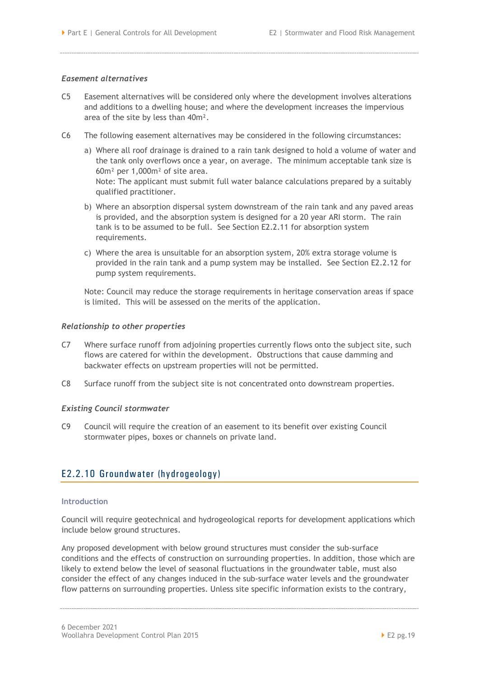#### *Easement alternatives*

- C5 Easement alternatives will be considered only where the development involves alterations and additions to a dwelling house; and where the development increases the impervious area of the site by less than 40m².
- C6 The following easement alternatives may be considered in the following circumstances:
	- a) Where all roof drainage is drained to a rain tank designed to hold a volume of water and the tank only overflows once a year, on average. The minimum acceptable tank size is 60m² per 1,000m² of site area. Note: The applicant must submit full water balance calculations prepared by a suitably qualified practitioner.
	- b) Where an absorption dispersal system downstream of the rain tank and any paved areas is provided, and the absorption system is designed for a 20 year ARI storm. The rain tank is to be assumed to be full. See Section [E2.2.11](#page-27-0) for absorption system requirements.
	- c) Where the area is unsuitable for an absorption system, 20% extra storage volume is provided in the rain tank and a pump system may be installed. See Section [E2.2.12](#page-28-0) for pump system requirements.

Note: Council may reduce the storage requirements in heritage conservation areas if space is limited. This will be assessed on the merits of the application.

#### *Relationship to other properties*

- C7 Where surface runoff from adjoining properties currently flows onto the subject site, such flows are catered for within the development. Obstructions that cause damming and backwater effects on upstream properties will not be permitted.
- C8 Surface runoff from the subject site is not concentrated onto downstream properties.

#### *Existing Council stormwater*

C9 Council will require the creation of an easement to its benefit over existing Council stormwater pipes, boxes or channels on private land.

## <span id="page-22-0"></span>E2.2.10 Groundwater (hydrogeology)

#### **Introduction**

Council will require geotechnical and hydrogeological reports for development applications which include below ground structures.

Any proposed development with below ground structures must consider the sub-surface conditions and the effects of construction on surrounding properties. In addition, those which are likely to extend below the level of seasonal fluctuations in the groundwater table, must also consider the effect of any changes induced in the sub-surface water levels and the groundwater flow patterns on surrounding properties. Unless site specific information exists to the contrary,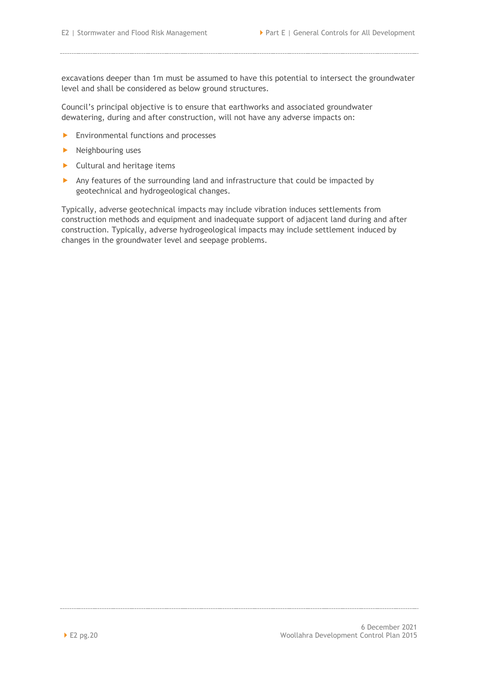excavations deeper than 1m must be assumed to have this potential to intersect the groundwater level and shall be considered as below ground structures.

Council's principal objective is to ensure that earthworks and associated groundwater dewatering, during and after construction, will not have any adverse impacts on:

- **Environmental functions and processes**
- $\blacktriangleright$  Neighbouring uses
- $\blacktriangleright$  Cultural and heritage items
- Any features of the surrounding land and infrastructure that could be impacted by geotechnical and hydrogeological changes.

Typically, adverse geotechnical impacts may include vibration induces settlements from construction methods and equipment and inadequate support of adjacent land during and after construction. Typically, adverse hydrogeological impacts may include settlement induced by changes in the groundwater level and seepage problems.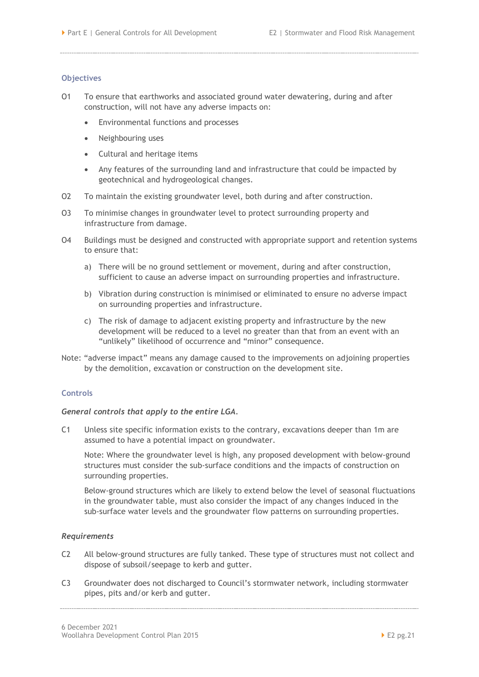#### **Objectives**

- O1 To ensure that earthworks and associated ground water dewatering, during and after construction, will not have any adverse impacts on:
	- Environmental functions and processes
	- Neighbouring uses
	- Cultural and heritage items
	- Any features of the surrounding land and infrastructure that could be impacted by geotechnical and hydrogeological changes.
- O2 To maintain the existing groundwater level, both during and after construction.
- O3 To minimise changes in groundwater level to protect surrounding property and infrastructure from damage.
- O4 Buildings must be designed and constructed with appropriate support and retention systems to ensure that:
	- a) There will be no ground settlement or movement, during and after construction, sufficient to cause an adverse impact on surrounding properties and infrastructure.
	- b) Vibration during construction is minimised or eliminated to ensure no adverse impact on surrounding properties and infrastructure.
	- c) The risk of damage to adjacent existing property and infrastructure by the new development will be reduced to a level no greater than that from an event with an "unlikely" likelihood of occurrence and "minor" consequence.
- Note: "adverse impact" means any damage caused to the improvements on adjoining properties by the demolition, excavation or construction on the development site.

#### **Controls**

#### *General controls that apply to the entire LGA.*

C1 Unless site specific information exists to the contrary, excavations deeper than 1m are assumed to have a potential impact on groundwater.

Note: Where the groundwater level is high, any proposed development with below-ground structures must consider the sub-surface conditions and the impacts of construction on surrounding properties.

Below-ground structures which are likely to extend below the level of seasonal fluctuations in the groundwater table, must also consider the impact of any changes induced in the sub-surface water levels and the groundwater flow patterns on surrounding properties.

#### *Requirements*

- C2 All below-ground structures are fully tanked. These type of structures must not collect and dispose of subsoil/seepage to kerb and gutter.
- C3 Groundwater does not discharged to Council's stormwater network, including stormwater pipes, pits and/or kerb and gutter.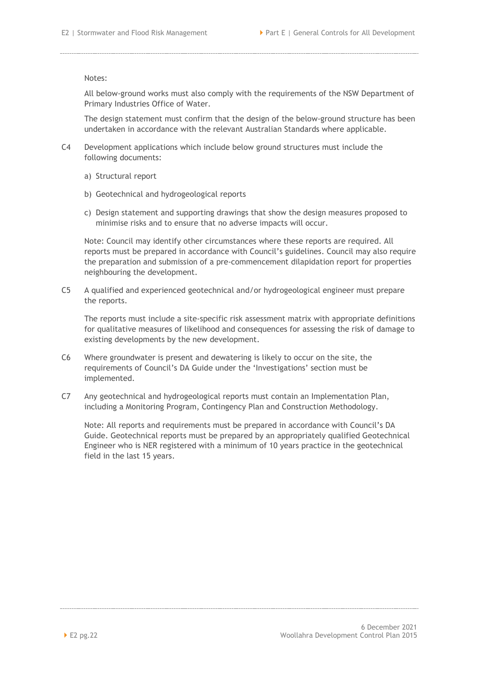#### Notes:

All below-ground works must also comply with the requirements of the NSW Department of Primary Industries Office of Water.

The design statement must confirm that the design of the below-ground structure has been undertaken in accordance with the relevant Australian Standards where applicable.

- C4 Development applications which include below ground structures must include the following documents:
	- a) Structural report
	- b) Geotechnical and hydrogeological reports
	- c) Design statement and supporting drawings that show the design measures proposed to minimise risks and to ensure that no adverse impacts will occur.

Note: Council may identify other circumstances where these reports are required. All reports must be prepared in accordance with Council's guidelines. Council may also require the preparation and submission of a pre-commencement dilapidation report for properties neighbouring the development.

C5 A qualified and experienced geotechnical and/or hydrogeological engineer must prepare the reports.

The reports must include a site-specific risk assessment matrix with appropriate definitions for qualitative measures of likelihood and consequences for assessing the risk of damage to existing developments by the new development.

- C6 Where groundwater is present and dewatering is likely to occur on the site, the requirements of Council's DA Guide under the 'Investigations' section must be implemented.
- C7 Any geotechnical and hydrogeological reports must contain an Implementation Plan, including a Monitoring Program, Contingency Plan and Construction Methodology.

Note: All reports and requirements must be prepared in accordance with Council's DA Guide. Geotechnical reports must be prepared by an appropriately qualified Geotechnical Engineer who is NER registered with a minimum of 10 years practice in the geotechnical field in the last 15 years.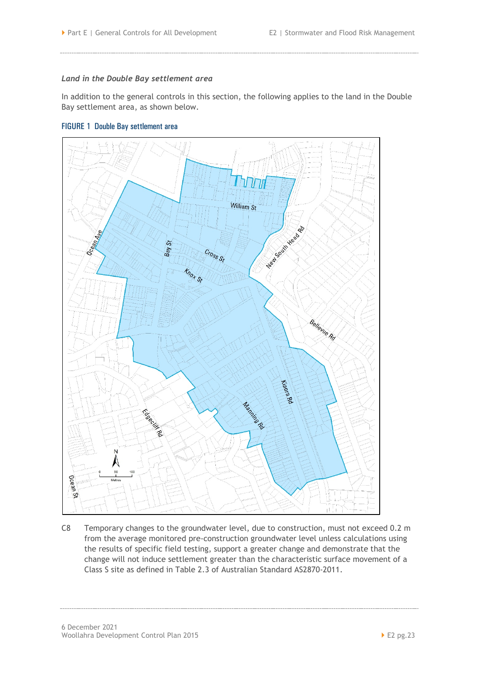#### *Land in the Double Bay settlement area*

In addition to the general controls in this section, the following applies to the land in the Double Bay settlement area, as shown below.





C8 Temporary changes to the groundwater level, due to construction, must not exceed 0.2 m from the average monitored pre-construction groundwater level unless calculations using the results of specific field testing, support a greater change and demonstrate that the change will not induce settlement greater than the characteristic surface movement of a Class S site as defined in Table 2.3 of Australian Standard AS2870-2011.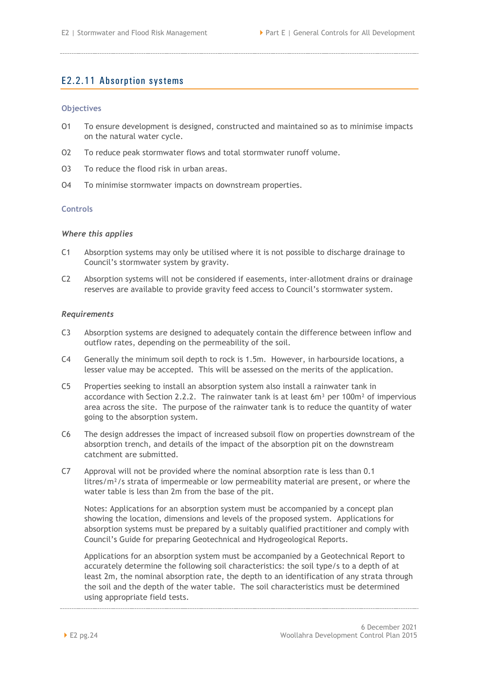## <span id="page-27-0"></span>E2.2.11 Absorption systems

#### **Objectives**

- O1 To ensure development is designed, constructed and maintained so as to minimise impacts on the natural water cycle.
- O2 To reduce peak stormwater flows and total stormwater runoff volume.
- O3 To reduce the flood risk in urban areas.
- O4 To minimise stormwater impacts on downstream properties.

#### **Controls**

#### *Where this applies*

- C1 Absorption systems may only be utilised where it is not possible to discharge drainage to Council's stormwater system by gravity.
- C2 Absorption systems will not be considered if easements, inter-allotment drains or drainage reserves are available to provide gravity feed access to Council's stormwater system.

#### *Requirements*

- C3 Absorption systems are designed to adequately contain the difference between inflow and outflow rates, depending on the permeability of the soil.
- C4 Generally the minimum soil depth to rock is 1.5m. However, in harbourside locations, a lesser value may be accepted. This will be assessed on the merits of the application.
- C5 Properties seeking to install an absorption system also install a rainwater tank in accordance with Section 2.2.2. The rainwater tank is at least  $6m<sup>3</sup>$  per 100m<sup>2</sup> of impervious area across the site. The purpose of the rainwater tank is to reduce the quantity of water going to the absorption system.
- C6 The design addresses the impact of increased subsoil flow on properties downstream of the absorption trench, and details of the impact of the absorption pit on the downstream catchment are submitted.
- C7 Approval will not be provided where the nominal absorption rate is less than 0.1 litres/m²/s strata of impermeable or low permeability material are present, or where the water table is less than 2m from the base of the pit.

Notes: Applications for an absorption system must be accompanied by a concept plan showing the location, dimensions and levels of the proposed system. Applications for absorption systems must be prepared by a suitably qualified practitioner and comply with Council's Guide for preparing Geotechnical and Hydrogeological Reports.

Applications for an absorption system must be accompanied by a Geotechnical Report to accurately determine the following soil characteristics: the soil type/s to a depth of at least 2m, the nominal absorption rate, the depth to an identification of any strata through the soil and the depth of the water table. The soil characteristics must be determined using appropriate field tests.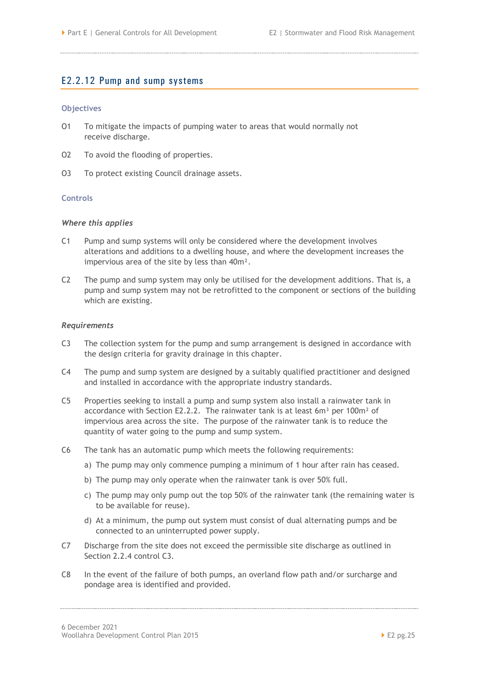#### <span id="page-28-0"></span>E2.2.12 Pump and sump systems

#### **Objectives**

- O1 To mitigate the impacts of pumping water to areas that would normally not receive discharge.
- O2 To avoid the flooding of properties.
- O3 To protect existing Council drainage assets.

#### **Controls**

#### *Where this applies*

- C1 Pump and sump systems will only be considered where the development involves alterations and additions to a dwelling house, and where the development increases the impervious area of the site by less than 40m².
- C2 The pump and sump system may only be utilised for the development additions. That is, a pump and sump system may not be retrofitted to the component or sections of the building which are existing.

#### *Requirements*

- C3 The collection system for the pump and sump arrangement is designed in accordance with the design criteria for gravity drainage in this chapter.
- C4 The pump and sump system are designed by a suitably qualified practitioner and designed and installed in accordance with the appropriate industry standards.
- C5 Properties seeking to install a pump and sump system also install a rainwater tank in accordance with Section [E2.2.2.](#page-7-0) The rainwater tank is at least 6 $m<sup>3</sup>$  per 100 $m<sup>2</sup>$  of impervious area across the site. The purpose of the rainwater tank is to reduce the quantity of water going to the pump and sump system.
- C6 The tank has an automatic pump which meets the following requirements:
	- a) The pump may only commence pumping a minimum of 1 hour after rain has ceased.
	- b) The pump may only operate when the rainwater tank is over 50% full.
	- c) The pump may only pump out the top 50% of the rainwater tank (the remaining water is to be available for reuse).
	- d) At a minimum, the pump out system must consist of dual alternating pumps and be connected to an uninterrupted power supply.
- C7 Discharge from the site does not exceed the permissible site discharge as outlined in Section 2.2.4 control C3.
- C8 In the event of the failure of both pumps, an overland flow path and/or surcharge and pondage area is identified and provided.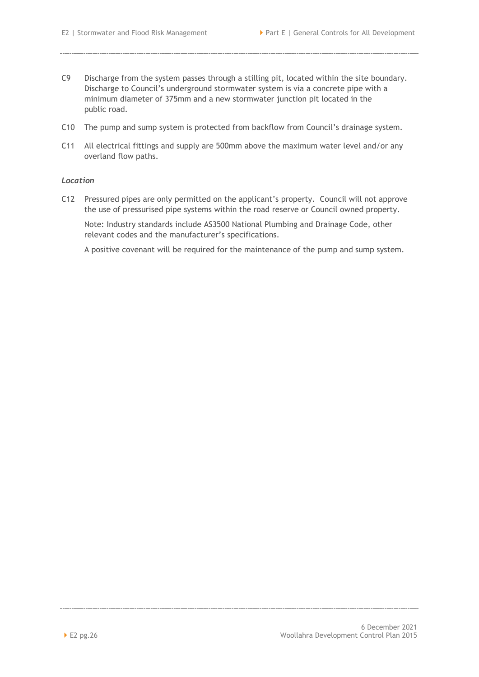- C9 Discharge from the system passes through a stilling pit, located within the site boundary. Discharge to Council's underground stormwater system is via a concrete pipe with a minimum diameter of 375mm and a new stormwater junction pit located in the public road.
- C10 The pump and sump system is protected from backflow from Council's drainage system.
- C11 All electrical fittings and supply are 500mm above the maximum water level and/or any overland flow paths.

#### *Location*

C12 Pressured pipes are only permitted on the applicant's property. Council will not approve the use of pressurised pipe systems within the road reserve or Council owned property.

Note: Industry standards include AS3500 National Plumbing and Drainage Code, other relevant codes and the manufacturer's specifications.

A positive covenant will be required for the maintenance of the pump and sump system.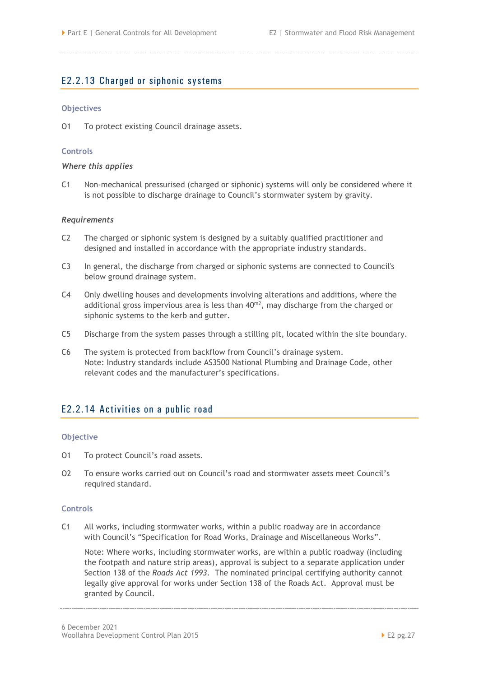## <span id="page-30-0"></span>E2.2.13 Charged or siphonic systems

#### **Objectives**

O1 To protect existing Council drainage assets.

#### **Controls**

#### *Where this applies*

C1 Non-mechanical pressurised (charged or siphonic) systems will only be considered where it is not possible to discharge drainage to Council's stormwater system by gravity.

#### *Requirements*

- C2 The charged or siphonic system is designed by a suitably qualified practitioner and designed and installed in accordance with the appropriate industry standards.
- C3 In general, the discharge from charged or siphonic systems are connected to Council's below ground drainage system*.*
- C4 Only dwelling houses and developments involving alterations and additions, where the additional gross impervious area is less than  $40<sup>m2</sup>$ , may discharge from the charged or siphonic systems to the kerb and gutter.
- C5 Discharge from the system passes through a stilling pit, located within the site boundary.
- C6 The system is protected from backflow from Council's drainage system. Note: Industry standards include AS3500 National Plumbing and Drainage Code, other relevant codes and the manufacturer's specifications.

## <span id="page-30-1"></span>E2.2.14 Activities on a public road

#### **Objective**

- O1 To protect Council's road assets.
- O2 To ensure works carried out on Council's road and stormwater assets meet Council's required standard.

#### **Controls**

C1 All works, including stormwater works, within a public roadway are in accordance with Council's "Specification for Road Works, Drainage and Miscellaneous Works".

Note: Where works, including stormwater works, are within a public roadway (including the footpath and nature strip areas), approval is subject to a separate application under Section 138 of the *Roads Act 1993*. The nominated principal certifying authority cannot legally give approval for works under Section 138 of the Roads Act. Approval must be granted by Council.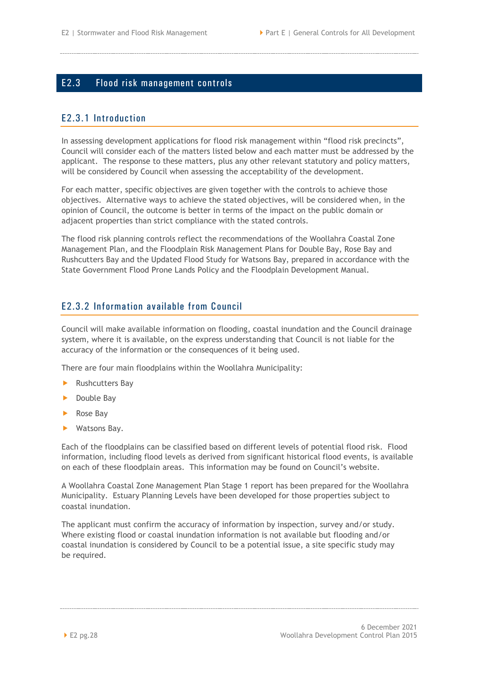## <span id="page-31-0"></span>E2.3 Flood risk management controls

## <span id="page-31-1"></span>E2.3.1 Introduction

In assessing development applications for flood risk management within "flood risk precincts", Council will consider each of the matters listed below and each matter must be addressed by the applicant. The response to these matters, plus any other relevant statutory and policy matters, will be considered by Council when assessing the acceptability of the development.

For each matter, specific objectives are given together with the controls to achieve those objectives. Alternative ways to achieve the stated objectives, will be considered when, in the opinion of Council, the outcome is better in terms of the impact on the public domain or adjacent properties than strict compliance with the stated controls.

The flood risk planning controls reflect the recommendations of the Woollahra Coastal Zone Management Plan, and the Floodplain Risk Management Plans for Double Bay, Rose Bay and Rushcutters Bay and the Updated Flood Study for Watsons Bay, prepared in accordance with the State Government Flood Prone Lands Policy and the Floodplain Development Manual.

## <span id="page-31-2"></span>E2.3.2 Information available from Council

Council will make available information on flooding, coastal inundation and the Council drainage system, where it is available, on the express understanding that Council is not liable for the accuracy of the information or the consequences of it being used.

There are four main floodplains within the Woollahra Municipality:

- Rushcutters Bay
- Double Bay
- Rose Bay
- Watsons Bay.

Each of the floodplains can be classified based on different levels of potential flood risk. Flood information, including flood levels as derived from significant historical flood events, is available on each of these floodplain areas. This information may be found on Council's website.

A Woollahra Coastal Zone Management Plan Stage 1 report has been prepared for the Woollahra Municipality. Estuary Planning Levels have been developed for those properties subject to coastal inundation.

The applicant must confirm the accuracy of information by inspection, survey and/or study. Where existing flood or coastal inundation information is not available but flooding and/or coastal inundation is considered by Council to be a potential issue, a site specific study may be required.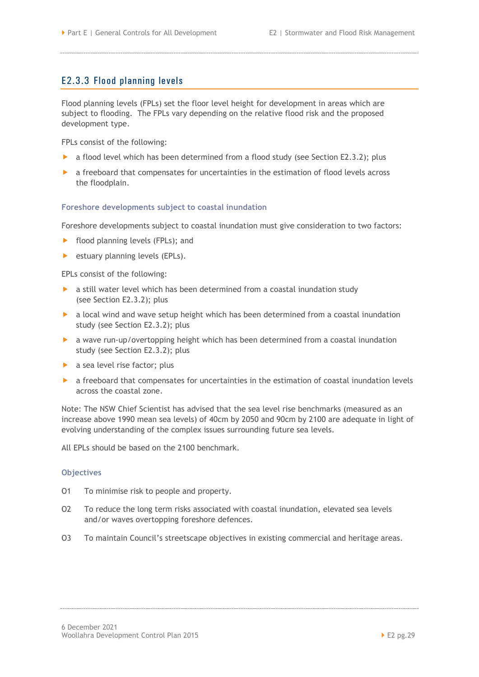## <span id="page-32-0"></span>E2.3.3 Flood planning levels

Flood planning levels (FPLs) set the floor level height for development in areas which are subject to flooding. The FPLs vary depending on the relative flood risk and the proposed development type.

FPLs consist of the following:

- $\triangleright$  a flood level which has been determined from a flood study (see Section [E2.3.2\)](#page-31-2); plus
- a freeboard that compensates for uncertainties in the estimation of flood levels across the floodplain.

#### **Foreshore developments subject to coastal inundation**

Foreshore developments subject to coastal inundation must give consideration to two factors:

- **Filood planning levels (FPLs); and**
- estuary planning levels (EPLs).

EPLs consist of the following:

- a still water level which has been determined from a coastal inundation study (see Section [E2.3.2\)](#page-31-2); plus
- a local wind and wave setup height which has been determined from a coastal inundation study (see Section [E2.3.2\)](#page-31-2); plus
- a wave run-up/overtopping height which has been determined from a coastal inundation study (see Section [E2.3.2\)](#page-31-2); plus
- a sea level rise factor; plus
- a freeboard that compensates for uncertainties in the estimation of coastal inundation levels across the coastal zone.

Note: The NSW Chief Scientist has advised that the sea level rise benchmarks (measured as an increase above 1990 mean sea levels) of 40cm by 2050 and 90cm by 2100 are adequate in light of evolving understanding of the complex issues surrounding future sea levels.

All EPLs should be based on the 2100 benchmark.

#### **Objectives**

- O1 To minimise risk to people and property.
- O2 To reduce the long term risks associated with coastal inundation, elevated sea levels and/or waves overtopping foreshore defences.
- O3 To maintain Council's streetscape objectives in existing commercial and heritage areas.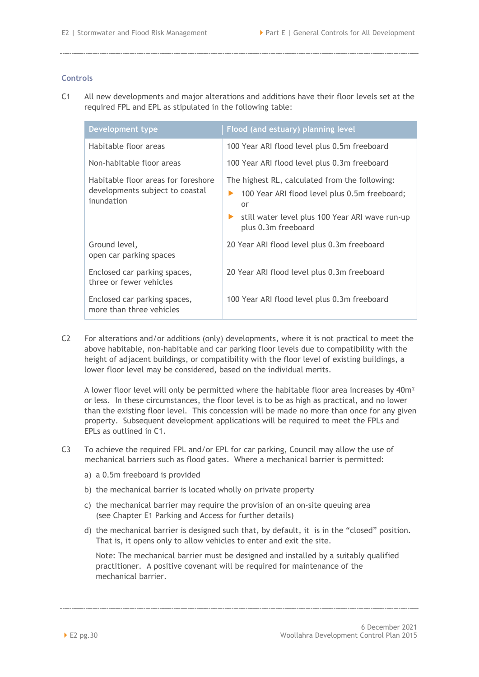#### **Controls**

C1 All new developments and major alterations and additions have their floor levels set at the required FPL and EPL as stipulated in the following table:

| <b>Development type</b>                                                              | Flood (and estuary) planning level                                                                                                                                              |
|--------------------------------------------------------------------------------------|---------------------------------------------------------------------------------------------------------------------------------------------------------------------------------|
| Habitable floor areas                                                                | 100 Year ARI flood level plus 0.5m freeboard                                                                                                                                    |
| Non-habitable floor areas                                                            | 100 Year ARI flood level plus 0.3m freeboard                                                                                                                                    |
| Habitable floor areas for foreshore<br>developments subject to coastal<br>inundation | The highest RL, calculated from the following:<br>100 Year ARI flood level plus 0.5m freeboard;<br>or<br>still water level plus 100 Year ARI wave run-up<br>plus 0.3m freeboard |
| Ground level,<br>open car parking spaces                                             | 20 Year ARI flood level plus 0.3m freeboard                                                                                                                                     |
| Enclosed car parking spaces,<br>three or fewer vehicles                              | 20 Year ARI flood level plus 0.3m freeboard                                                                                                                                     |
| Enclosed car parking spaces,<br>more than three vehicles                             | 100 Year ARI flood level plus 0.3m freeboard                                                                                                                                    |

C2 For alterations and/or additions (only) developments, where it is not practical to meet the above habitable, non-habitable and car parking floor levels due to compatibility with the height of adjacent buildings, or compatibility with the floor level of existing buildings, a lower floor level may be considered, based on the individual merits.

A lower floor level will only be permitted where the habitable floor area increases by  $40m^2$ or less. In these circumstances, the floor level is to be as high as practical, and no lower than the existing floor level. This concession will be made no more than once for any given property. Subsequent development applications will be required to meet the FPLs and EPLs as outlined in C1.

- C3 To achieve the required FPL and/or EPL for car parking, Council may allow the use of mechanical barriers such as flood gates. Where a mechanical barrier is permitted:
	- a) a 0.5m freeboard is provided
	- b) the mechanical barrier is located wholly on private property
	- c) the mechanical barrier may require the provision of an on-site queuing area (see Chapter E1 Parking and Access for further details)
	- d) the mechanical barrier is designed such that, by default, it is in the "closed" position. That is, it opens only to allow vehicles to enter and exit the site.

Note: The mechanical barrier must be designed and installed by a suitably qualified practitioner. A positive covenant will be required for maintenance of the mechanical barrier.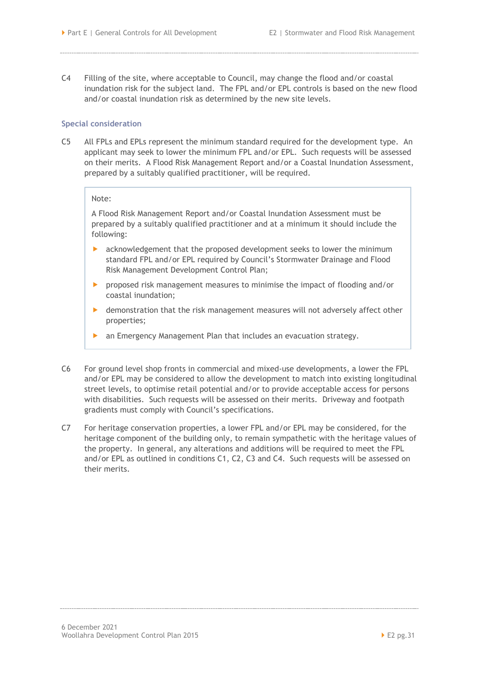C4 Filling of the site, where acceptable to Council, may change the flood and/or coastal inundation risk for the subject land. The FPL and/or EPL controls is based on the new flood and/or coastal inundation risk as determined by the new site levels.

#### **Special consideration**

C5 All FPLs and EPLs represent the minimum standard required for the development type. An applicant may seek to lower the minimum FPL and/or EPL. Such requests will be assessed on their merits. A Flood Risk Management Report and/or a Coastal Inundation Assessment, prepared by a suitably qualified practitioner, will be required.

#### Note:

A Flood Risk Management Report and/or Coastal Inundation Assessment must be prepared by a suitably qualified practitioner and at a minimum it should include the following:

- acknowledgement that the proposed development seeks to lower the minimum standard FPL and/or EPL required by Council's Stormwater Drainage and Flood Risk Management Development Control Plan;
- proposed risk management measures to minimise the impact of flooding and/or coastal inundation;
- demonstration that the risk management measures will not adversely affect other properties;
- an Emergency Management Plan that includes an evacuation strategy.
- C6 For ground level shop fronts in commercial and mixed-use developments, a lower the FPL and/or EPL may be considered to allow the development to match into existing longitudinal street levels, to optimise retail potential and/or to provide acceptable access for persons with disabilities. Such requests will be assessed on their merits. Driveway and footpath gradients must comply with Council's specifications.
- C7 For heritage conservation properties, a lower FPL and/or EPL may be considered, for the heritage component of the building only, to remain sympathetic with the heritage values of the property. In general, any alterations and additions will be required to meet the FPL and/or EPL as outlined in conditions C1, C2, C3 and C4. Such requests will be assessed on their merits.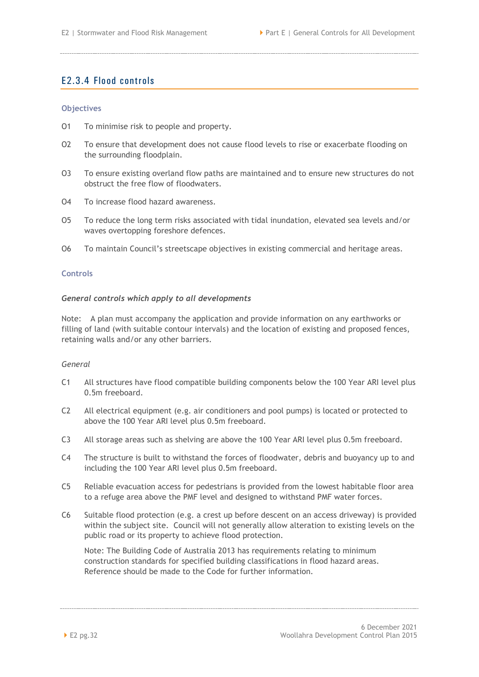## <span id="page-35-0"></span>E2.3.4 Flood controls

#### **Objectives**

- O1 To minimise risk to people and property.
- O2 To ensure that development does not cause flood levels to rise or exacerbate flooding on the surrounding floodplain.
- O3 To ensure existing overland flow paths are maintained and to ensure new structures do not obstruct the free flow of floodwaters.
- O4 To increase flood hazard awareness.
- O5 To reduce the long term risks associated with tidal inundation, elevated sea levels and/or waves overtopping foreshore defences.
- O6 To maintain Council's streetscape objectives in existing commercial and heritage areas.

#### **Controls**

#### *General controls which apply to all developments*

Note: A plan must accompany the application and provide information on any earthworks or filling of land (with suitable contour intervals) and the location of existing and proposed fences, retaining walls and/or any other barriers.

#### *General*

- C1 All structures have flood compatible building components below the 100 Year ARI level plus 0.5m freeboard.
- C2 All electrical equipment (e.g. air conditioners and pool pumps) is located or protected to above the 100 Year ARI level plus 0.5m freeboard.
- C3 All storage areas such as shelving are above the 100 Year ARI level plus 0.5m freeboard.
- C4 The structure is built to withstand the forces of floodwater, debris and buoyancy up to and including the 100 Year ARI level plus 0.5m freeboard.
- C5 Reliable evacuation access for pedestrians is provided from the lowest habitable floor area to a refuge area above the PMF level and designed to withstand PMF water forces.
- C6 Suitable flood protection (e.g. a crest up before descent on an access driveway) is provided within the subject site. Council will not generally allow alteration to existing levels on the public road or its property to achieve flood protection.

Note: The Building Code of Australia 2013 has requirements relating to minimum construction standards for specified building classifications in flood hazard areas. Reference should be made to the Code for further information.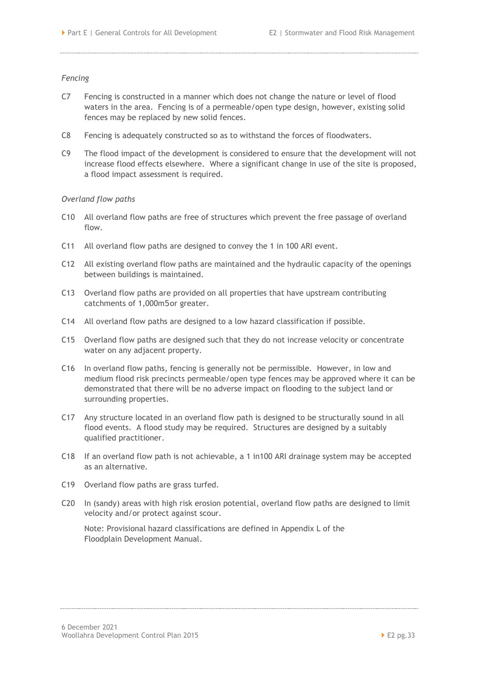#### *Fencing*

- C7 Fencing is constructed in a manner which does not change the nature or level of flood waters in the area. Fencing is of a permeable/open type design, however, existing solid fences may be replaced by new solid fences.
- C8 Fencing is adequately constructed so as to withstand the forces of floodwaters.
- C9 The flood impact of the development is considered to ensure that the development will not increase flood effects elsewhere. Where a significant change in use of the site is proposed, a flood impact assessment is required.

#### *Overland flow paths*

- C10 All overland flow paths are free of structures which prevent the free passage of overland flow.
- C11 All overland flow paths are designed to convey the 1 in 100 ARI event.
- C12 All existing overland flow paths are maintained and the hydraulic capacity of the openings between buildings is maintained.
- C13 Overland flow paths are provided on all properties that have upstream contributing catchments of 1,000m5 or greater.
- C14 All overland flow paths are designed to a low hazard classification if possible.
- C15 Overland flow paths are designed such that they do not increase velocity or concentrate water on any adjacent property.
- C16 In overland flow paths, fencing is generally not be permissible. However, in low and medium flood risk precincts permeable/open type fences may be approved where it can be demonstrated that there will be no adverse impact on flooding to the subject land or surrounding properties.
- C17 Any structure located in an overland flow path is designed to be structurally sound in all flood events. A flood study may be required. Structures are designed by a suitably qualified practitioner.
- C18 If an overland flow path is not achievable, a 1 in100 ARI drainage system may be accepted as an alternative.
- C19 Overland flow paths are grass turfed.
- C20 In (sandy) areas with high risk erosion potential, overland flow paths are designed to limit velocity and/or protect against scour.

Note: Provisional hazard classifications are defined in Appendix L of the Floodplain Development Manual.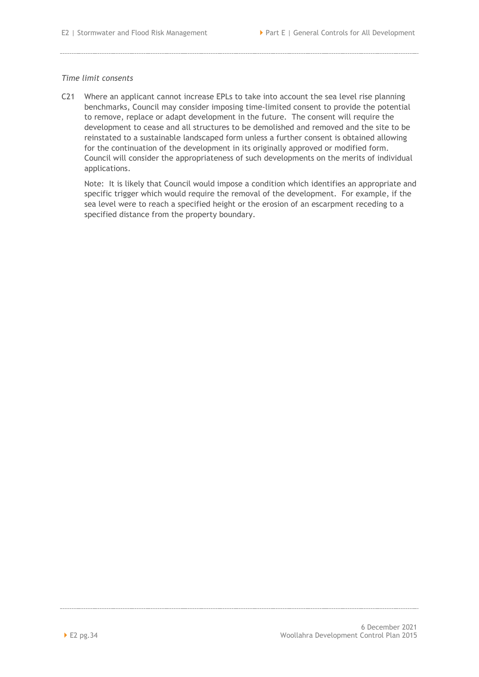#### *Time limit consents*

C21 Where an applicant cannot increase EPLs to take into account the sea level rise planning benchmarks, Council may consider imposing time-limited consent to provide the potential to remove, replace or adapt development in the future. The consent will require the development to cease and all structures to be demolished and removed and the site to be reinstated to a sustainable landscaped form unless a further consent is obtained allowing for the continuation of the development in its originally approved or modified form. Council will consider the appropriateness of such developments on the merits of individual applications.

Note: It is likely that Council would impose a condition which identifies an appropriate and specific trigger which would require the removal of the development. For example, if the sea level were to reach a specified height or the erosion of an escarpment receding to a specified distance from the property boundary.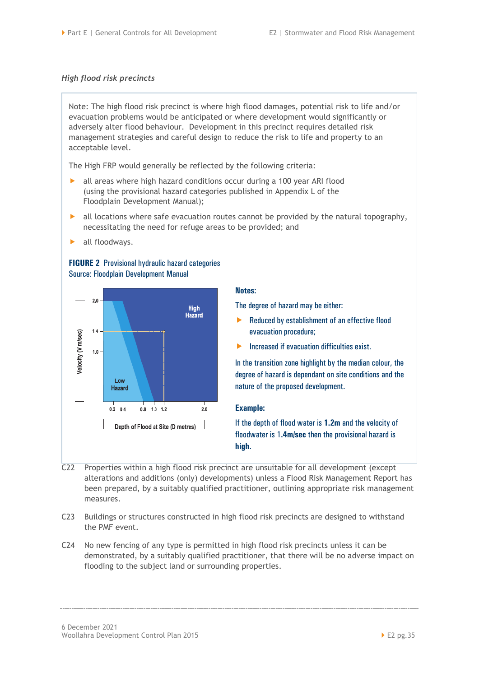#### *High flood risk precincts*

Note: The high flood risk precinct is where high flood damages, potential risk to life and/or evacuation problems would be anticipated or where development would significantly or adversely alter flood behaviour. Development in this precinct requires detailed risk management strategies and careful design to reduce the risk to life and property to an acceptable level.

The High FRP would generally be reflected by the following criteria:

- all areas where high hazard conditions occur during a 100 year ARI flood (using the provisional hazard categories published in Appendix L of the Floodplain Development Manual);
- $\blacktriangleright$  all locations where safe evacuation routes cannot be provided by the natural topography, necessitating the need for refuge areas to be provided; and
- **all floodways.**

#### **FIGURE 2** Provisional hydraulic hazard categories Source: Floodplain Development Manual



#### **Notes:**

The degree of hazard may be either:

- $\blacktriangleright$  Reduced by establishment of an effective flood evacuation procedure;
- $\blacktriangleright$  Increased if evacuation difficulties exist.

In the transition zone highlight by the median colour, the degree of hazard is dependant on site conditions and the nature of the proposed development.

#### **Example:**

If the depth of flood water is **1.2m** and the velocity of floodwater is 1**.4m/sec** then the provisional hazard is **high**.

- C22 Properties within a high flood risk precinct are unsuitable for all development (except alterations and additions (only) developments) unless a Flood Risk Management Report has been prepared, by a suitably qualified practitioner, outlining appropriate risk management measures.
- C23 Buildings or structures constructed in high flood risk precincts are designed to withstand the PMF event.
- C24 No new fencing of any type is permitted in high flood risk precincts unless it can be demonstrated, by a suitably qualified practitioner, that there will be no adverse impact on flooding to the subject land or surrounding properties.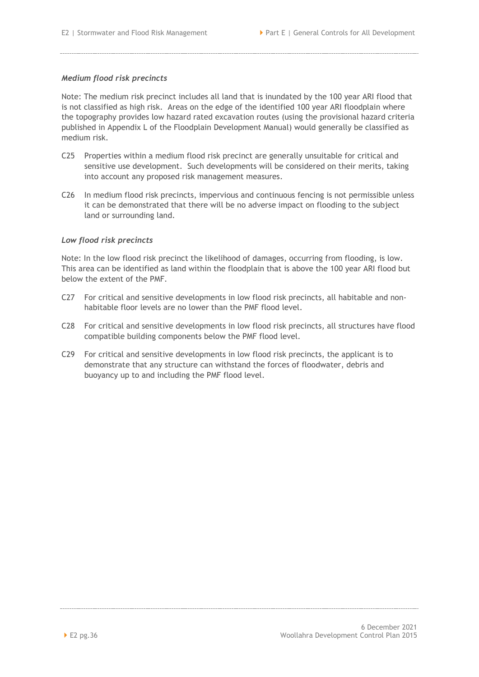#### *Medium flood risk precincts*

Note: The medium risk precinct includes all land that is inundated by the 100 year ARI flood that is not classified as high risk. Areas on the edge of the identified 100 year ARI floodplain where the topography provides low hazard rated excavation routes (using the provisional hazard criteria published in Appendix L of the Floodplain Development Manual) would generally be classified as medium risk.

- C25 Properties within a medium flood risk precinct are generally unsuitable for critical and sensitive use development. Such developments will be considered on their merits, taking into account any proposed risk management measures.
- C26 In medium flood risk precincts, impervious and continuous fencing is not permissible unless it can be demonstrated that there will be no adverse impact on flooding to the subject land or surrounding land.

#### *Low flood risk precincts*

Note: In the low flood risk precinct the likelihood of damages, occurring from flooding, is low. This area can be identified as land within the floodplain that is above the 100 year ARI flood but below the extent of the PMF.

- C27 For critical and sensitive developments in low flood risk precincts, all habitable and nonhabitable floor levels are no lower than the PMF flood level.
- C28 For critical and sensitive developments in low flood risk precincts, all structures have flood compatible building components below the PMF flood level.
- C29 For critical and sensitive developments in low flood risk precincts, the applicant is to demonstrate that any structure can withstand the forces of floodwater, debris and buoyancy up to and including the PMF flood level.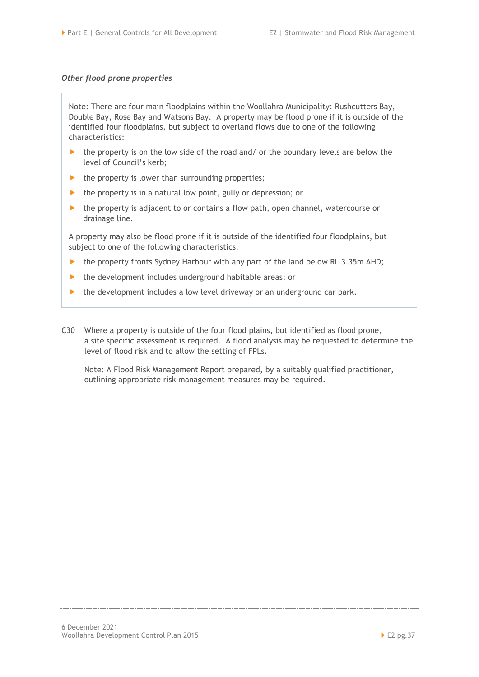#### *Other flood prone properties*

Note: There are four main floodplains within the Woollahra Municipality: Rushcutters Bay, Double Bay, Rose Bay and Watsons Bay. A property may be flood prone if it is outside of the identified four floodplains, but subject to overland flows due to one of the following characteristics:

- ▶ the property is on the low side of the road and/ or the boundary levels are below the level of Council's kerb;
- $\blacktriangleright$  the property is lower than surrounding properties;
- $\blacktriangleright$  the property is in a natural low point, gully or depression; or
- $\blacktriangleright$  the property is adjacent to or contains a flow path, open channel, watercourse or drainage line.

A property may also be flood prone if it is outside of the identified four floodplains, but subject to one of the following characteristics:

- $\blacktriangleright$  the property fronts Sydney Harbour with any part of the land below RL 3.35m AHD;
- $\blacktriangleright$  the development includes underground habitable areas; or
- $\blacktriangleright$  the development includes a low level driveway or an underground car park.
- C30 Where a property is outside of the four flood plains, but identified as flood prone, a site specific assessment is required. A flood analysis may be requested to determine the level of flood risk and to allow the setting of FPLs.

Note: A Flood Risk Management Report prepared, by a suitably qualified practitioner, outlining appropriate risk management measures may be required.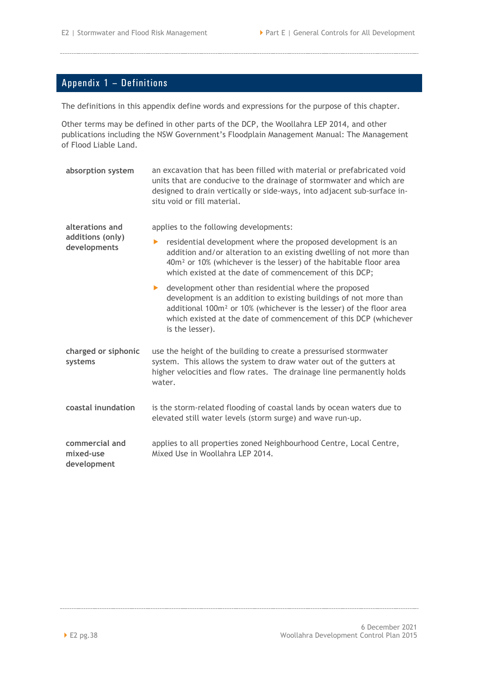## <span id="page-41-0"></span>Appendix 1 – Definitions

The definitions in this appendix define words and expressions for the purpose of this chapter.

Other terms may be defined in other parts of the DCP, the Woollahra LEP 2014, and other publications including the NSW Government's Floodplain Management Manual: The Management of Flood Liable Land.

**absorption system** an excavation that has been filled with material or prefabricated void units that are conducive to the drainage of stormwater and which are designed to drain vertically or side-ways, into adjacent sub-surface insitu void or fill material. **alterations and additions (only) developments** applies to the following developments: **P** residential development where the proposed development is an addition and/or alteration to an existing dwelling of not more than 40m² or 10% (whichever is the lesser) of the habitable floor area which existed at the date of commencement of this DCP; **D** development other than residential where the proposed development is an addition to existing buildings of not more than additional 100m² or 10% (whichever is the lesser) of the floor area which existed at the date of commencement of this DCP (whichever is the lesser). **charged or siphonic systems** use the height of the building to create a pressurised stormwater system. This allows the system to draw water out of the gutters at higher velocities and flow rates. The drainage line permanently holds water. **coastal inundation** is the storm-related flooding of coastal lands by ocean waters due to elevated still water levels (storm surge) and wave run-up. **commercial and mixed-use development** applies to all properties zoned Neighbourhood Centre, Local Centre, Mixed Use in Woollahra LEP 2014.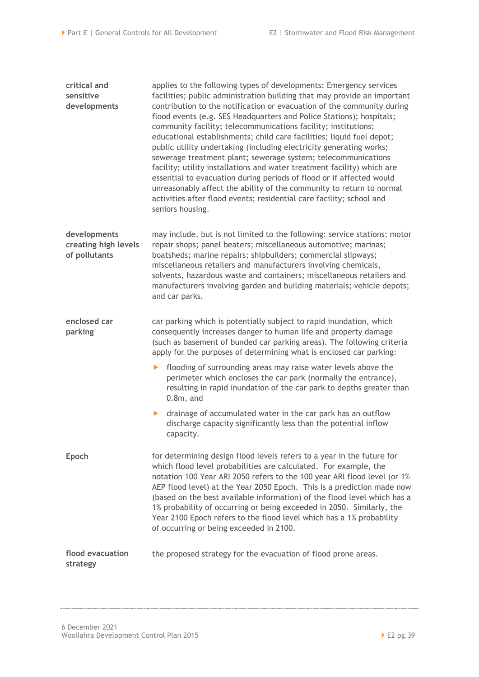| critical and<br>sensitive<br>developments             | applies to the following types of developments: Emergency services<br>facilities; public administration building that may provide an important<br>contribution to the notification or evacuation of the community during<br>flood events (e.g. SES Headquarters and Police Stations); hospitals;<br>community facility; telecommunications facility; institutions;<br>educational establishments; child care facilities; liquid fuel depot;<br>public utility undertaking (including electricity generating works;<br>sewerage treatment plant; sewerage system; telecommunications<br>facility; utility installations and water treatment facility) which are<br>essential to evacuation during periods of flood or if affected would<br>unreasonably affect the ability of the community to return to normal<br>activities after flood events; residential care facility; school and<br>seniors housing. |  |  |  |  |
|-------------------------------------------------------|------------------------------------------------------------------------------------------------------------------------------------------------------------------------------------------------------------------------------------------------------------------------------------------------------------------------------------------------------------------------------------------------------------------------------------------------------------------------------------------------------------------------------------------------------------------------------------------------------------------------------------------------------------------------------------------------------------------------------------------------------------------------------------------------------------------------------------------------------------------------------------------------------------|--|--|--|--|
| developments<br>creating high levels<br>of pollutants | may include, but is not limited to the following: service stations; motor<br>repair shops; panel beaters; miscellaneous automotive; marinas;<br>boatsheds; marine repairs; shipbuilders; commercial slipways;<br>miscellaneous retailers and manufacturers involving chemicals,<br>solvents, hazardous waste and containers; miscellaneous retailers and<br>manufacturers involving garden and building materials; vehicle depots;<br>and car parks.                                                                                                                                                                                                                                                                                                                                                                                                                                                       |  |  |  |  |
| enclosed car<br>parking                               | car parking which is potentially subject to rapid inundation, which<br>consequently increases danger to human life and property damage<br>(such as basement of bunded car parking areas). The following criteria<br>apply for the purposes of determining what is enclosed car parking:                                                                                                                                                                                                                                                                                                                                                                                                                                                                                                                                                                                                                    |  |  |  |  |
|                                                       | flooding of surrounding areas may raise water levels above the<br>▶<br>perimeter which encloses the car park (normally the entrance),<br>resulting in rapid inundation of the car park to depths greater than<br>$0.8m$ , and                                                                                                                                                                                                                                                                                                                                                                                                                                                                                                                                                                                                                                                                              |  |  |  |  |
|                                                       | drainage of accumulated water in the car park has an outflow<br>▶<br>discharge capacity significantly less than the potential inflow<br>capacity.                                                                                                                                                                                                                                                                                                                                                                                                                                                                                                                                                                                                                                                                                                                                                          |  |  |  |  |
| Epoch                                                 | for determining design flood levels refers to a year in the future for<br>which flood level probabilities are calculated. For example, the<br>notation 100 Year ARI 2050 refers to the 100 year ARI flood level (or 1%<br>AEP flood level) at the Year 2050 Epoch. This is a prediction made now<br>(based on the best available information) of the flood level which has a<br>1% probability of occurring or being exceeded in 2050. Similarly, the<br>Year 2100 Epoch refers to the flood level which has a 1% probability<br>of occurring or being exceeded in 2100.                                                                                                                                                                                                                                                                                                                                   |  |  |  |  |
| flood evacuation<br>strategy                          | the proposed strategy for the evacuation of flood prone areas.                                                                                                                                                                                                                                                                                                                                                                                                                                                                                                                                                                                                                                                                                                                                                                                                                                             |  |  |  |  |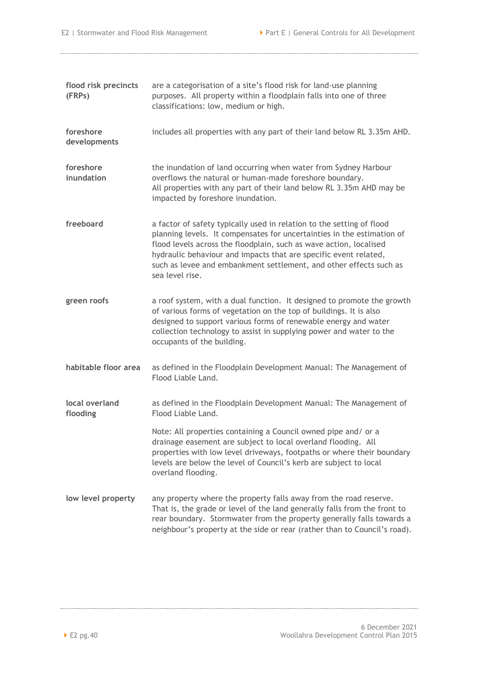| flood risk precincts<br>(FRPs) | are a categorisation of a site's flood risk for land-use planning<br>purposes. All property within a floodplain falls into one of three<br>classifications: low, medium or high.                                                                                                                                                                                                   |  |  |  |
|--------------------------------|------------------------------------------------------------------------------------------------------------------------------------------------------------------------------------------------------------------------------------------------------------------------------------------------------------------------------------------------------------------------------------|--|--|--|
| foreshore<br>developments      | includes all properties with any part of their land below RL 3.35m AHD.                                                                                                                                                                                                                                                                                                            |  |  |  |
| foreshore<br>inundation        | the inundation of land occurring when water from Sydney Harbour<br>overflows the natural or human-made foreshore boundary.<br>All properties with any part of their land below RL 3.35m AHD may be<br>impacted by foreshore inundation.                                                                                                                                            |  |  |  |
| freeboard                      | a factor of safety typically used in relation to the setting of flood<br>planning levels. It compensates for uncertainties in the estimation of<br>flood levels across the floodplain, such as wave action, localised<br>hydraulic behaviour and impacts that are specific event related,<br>such as levee and embankment settlement, and other effects such as<br>sea level rise. |  |  |  |
| green roofs                    | a roof system, with a dual function. It designed to promote the growth<br>of various forms of vegetation on the top of buildings. It is also<br>designed to support various forms of renewable energy and water<br>collection technology to assist in supplying power and water to the<br>occupants of the building.                                                               |  |  |  |
| habitable floor area           | as defined in the Floodplain Development Manual: The Management of<br>Flood Liable Land.                                                                                                                                                                                                                                                                                           |  |  |  |
| local overland<br>flooding     | as defined in the Floodplain Development Manual: The Management of<br>Flood Liable Land.                                                                                                                                                                                                                                                                                           |  |  |  |
|                                | Note: All properties containing a Council owned pipe and/ or a<br>drainage easement are subject to local overland flooding. All<br>properties with low level driveways, footpaths or where their boundary<br>levels are below the level of Council's kerb are subject to local<br>overland flooding.                                                                               |  |  |  |
| low level property             | any property where the property falls away from the road reserve.<br>That is, the grade or level of the land generally falls from the front to<br>rear boundary. Stormwater from the property generally falls towards a<br>neighbour's property at the side or rear (rather than to Council's road).                                                                               |  |  |  |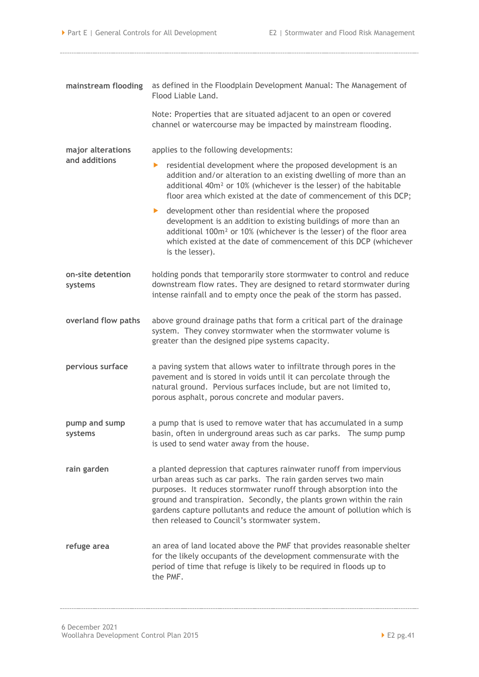| mainstream flooding          | as defined in the Floodplain Development Manual: The Management of<br>Flood Liable Land.                                                                                                                                                                                                                                                                                                                       |  |  |  |  |
|------------------------------|----------------------------------------------------------------------------------------------------------------------------------------------------------------------------------------------------------------------------------------------------------------------------------------------------------------------------------------------------------------------------------------------------------------|--|--|--|--|
|                              | Note: Properties that are situated adjacent to an open or covered<br>channel or watercourse may be impacted by mainstream flooding.                                                                                                                                                                                                                                                                            |  |  |  |  |
| major alterations            | applies to the following developments:                                                                                                                                                                                                                                                                                                                                                                         |  |  |  |  |
| and additions                | residential development where the proposed development is an<br>▶<br>addition and/or alteration to an existing dwelling of more than an<br>additional 40m <sup>2</sup> or 10% (whichever is the lesser) of the habitable<br>floor area which existed at the date of commencement of this DCP;                                                                                                                  |  |  |  |  |
|                              | • development other than residential where the proposed<br>development is an addition to existing buildings of more than an<br>additional 100m <sup>2</sup> or 10% (whichever is the lesser) of the floor area<br>which existed at the date of commencement of this DCP (whichever<br>is the lesser).                                                                                                          |  |  |  |  |
| on-site detention<br>systems | holding ponds that temporarily store stormwater to control and reduce<br>downstream flow rates. They are designed to retard stormwater during<br>intense rainfall and to empty once the peak of the storm has passed.                                                                                                                                                                                          |  |  |  |  |
| overland flow paths          | above ground drainage paths that form a critical part of the drainage<br>system. They convey stormwater when the stormwater volume is<br>greater than the designed pipe systems capacity.                                                                                                                                                                                                                      |  |  |  |  |
| pervious surface             | a paving system that allows water to infiltrate through pores in the<br>pavement and is stored in voids until it can percolate through the<br>natural ground. Pervious surfaces include, but are not limited to,<br>porous asphalt, porous concrete and modular pavers.                                                                                                                                        |  |  |  |  |
| pump and sump<br>systems     | a pump that is used to remove water that has accumulated in a sump<br>basin, often in underground areas such as car parks. The sump pump<br>is used to send water away from the house.                                                                                                                                                                                                                         |  |  |  |  |
| rain garden                  | a planted depression that captures rainwater runoff from impervious<br>urban areas such as car parks. The rain garden serves two main<br>purposes. It reduces stormwater runoff through absorption into the<br>ground and transpiration. Secondly, the plants grown within the rain<br>gardens capture pollutants and reduce the amount of pollution which is<br>then released to Council's stormwater system. |  |  |  |  |
| refuge area                  | an area of land located above the PMF that provides reasonable shelter<br>for the likely occupants of the development commensurate with the<br>period of time that refuge is likely to be required in floods up to<br>the PMF.                                                                                                                                                                                 |  |  |  |  |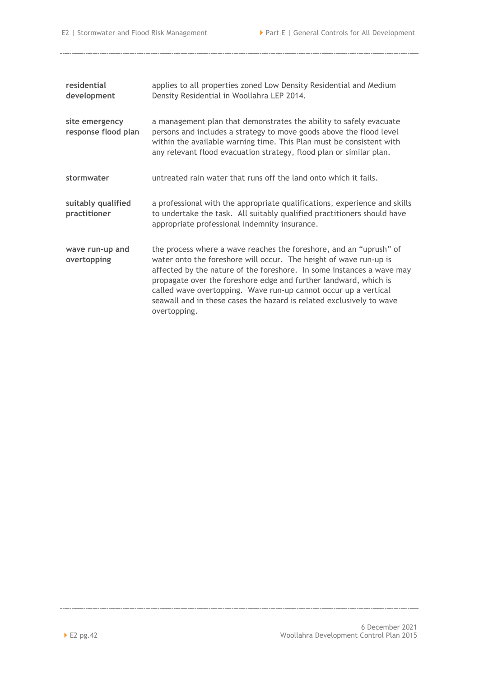| residential<br>development            | applies to all properties zoned Low Density Residential and Medium<br>Density Residential in Woollahra LEP 2014.                                                                                                                                                                                                                                                                                                                                |
|---------------------------------------|-------------------------------------------------------------------------------------------------------------------------------------------------------------------------------------------------------------------------------------------------------------------------------------------------------------------------------------------------------------------------------------------------------------------------------------------------|
| site emergency<br>response flood plan | a management plan that demonstrates the ability to safely evacuate<br>persons and includes a strategy to move goods above the flood level<br>within the available warning time. This Plan must be consistent with<br>any relevant flood evacuation strategy, flood plan or similar plan.                                                                                                                                                        |
| stormwater                            | untreated rain water that runs off the land onto which it falls.                                                                                                                                                                                                                                                                                                                                                                                |
| suitably qualified<br>practitioner    | a professional with the appropriate qualifications, experience and skills<br>to undertake the task. All suitably qualified practitioners should have<br>appropriate professional indemnity insurance.                                                                                                                                                                                                                                           |
| wave run-up and<br>overtopping        | the process where a wave reaches the foreshore, and an "uprush" of<br>water onto the foreshore will occur. The height of wave run-up is<br>affected by the nature of the foreshore. In some instances a wave may<br>propagate over the foreshore edge and further landward, which is<br>called wave overtopping. Wave run-up cannot occur up a vertical<br>seawall and in these cases the hazard is related exclusively to wave<br>overtopping. |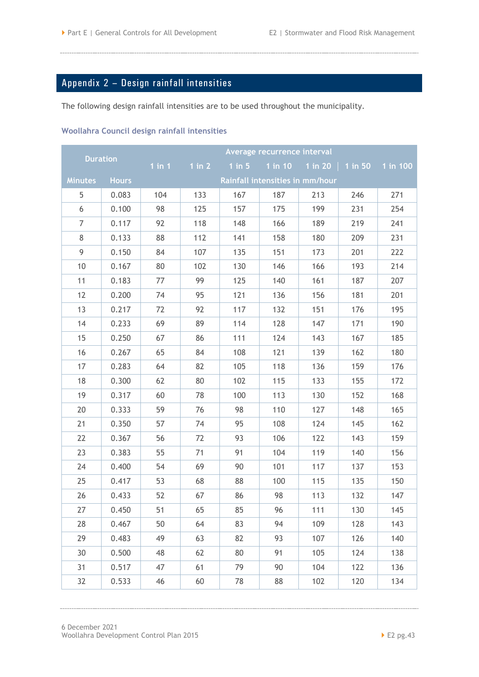## <span id="page-46-0"></span>Appendix 2 – Design rainfall intensities

The following design rainfall intensities are to be used throughout the municipality.

#### **Woollahra Council design rainfall intensities**

| <b>Duration</b> |              |                                 |        |        | Average recurrence interval |                 |           |          |
|-----------------|--------------|---------------------------------|--------|--------|-----------------------------|-----------------|-----------|----------|
|                 |              | $1$ in $1$                      | 1 in 2 | 1 in 5 |                             | 1 in 10 1 in 20 | $1$ in 50 | 1 in 100 |
| <b>Minutes</b>  | <b>Hours</b> | Rainfall intensities in mm/hour |        |        |                             |                 |           |          |
| 5               | 0.083        | 104                             | 133    | 167    | 187                         | 213             | 246       | 271      |
| 6               | 0.100        | 98                              | 125    | 157    | 175                         | 199             | 231       | 254      |
| $\overline{7}$  | 0.117        | 92                              | 118    | 148    | 166                         | 189             | 219       | 241      |
| 8               | 0.133        | 88                              | 112    | 141    | 158                         | 180             | 209       | 231      |
| 9               | 0.150        | 84                              | 107    | 135    | 151                         | 173             | 201       | 222      |
| 10              | 0.167        | 80                              | 102    | 130    | 146                         | 166             | 193       | 214      |
| 11              | 0.183        | 77                              | 99     | 125    | 140                         | 161             | 187       | 207      |
| 12              | 0.200        | 74                              | 95     | 121    | 136                         | 156             | 181       | 201      |
| 13              | 0.217        | 72                              | 92     | 117    | 132                         | 151             | 176       | 195      |
| 14              | 0.233        | 69                              | 89     | 114    | 128                         | 147             | 171       | 190      |
| 15              | 0.250        | 67                              | 86     | 111    | 124                         | 143             | 167       | 185      |
| 16              | 0.267        | 65                              | 84     | 108    | 121                         | 139             | 162       | 180      |
| 17              | 0.283        | 64                              | 82     | 105    | 118                         | 136             | 159       | 176      |
| 18              | 0.300        | 62                              | 80     | 102    | 115                         | 133             | 155       | 172      |
| 19              | 0.317        | 60                              | 78     | 100    | 113                         | 130             | 152       | 168      |
| 20              | 0.333        | 59                              | 76     | 98     | 110                         | 127             | 148       | 165      |
| 21              | 0.350        | 57                              | 74     | 95     | 108                         | 124             | 145       | 162      |
| 22              | 0.367        | 56                              | 72     | 93     | 106                         | 122             | 143       | 159      |
| 23              | 0.383        | 55                              | 71     | 91     | 104                         | 119             | 140       | 156      |
| 24              | 0.400        | 54                              | 69     | 90     | 101                         | 117             | 137       | 153      |
| 25              | 0.417        | 53                              | 68     | 88     | 100                         | 115             | 135       | 150      |
| 26              | 0.433        | 52                              | 67     | 86     | 98                          | 113             | 132       | 147      |
| 27              | 0.450        | 51                              | 65     | 85     | 96                          | 111             | 130       | 145      |
| 28              | 0.467        | 50                              | 64     | 83     | 94                          | 109             | 128       | 143      |
| 29              | 0.483        | 49                              | 63     | 82     | 93                          | 107             | 126       | 140      |
| 30              | 0.500        | 48                              | 62     | 80     | 91                          | 105             | 124       | 138      |
| 31              | 0.517        | 47                              | 61     | 79     | 90                          | 104             | 122       | 136      |
| 32              | 0.533        | 46                              | 60     | 78     | 88                          | 102             | 120       | 134      |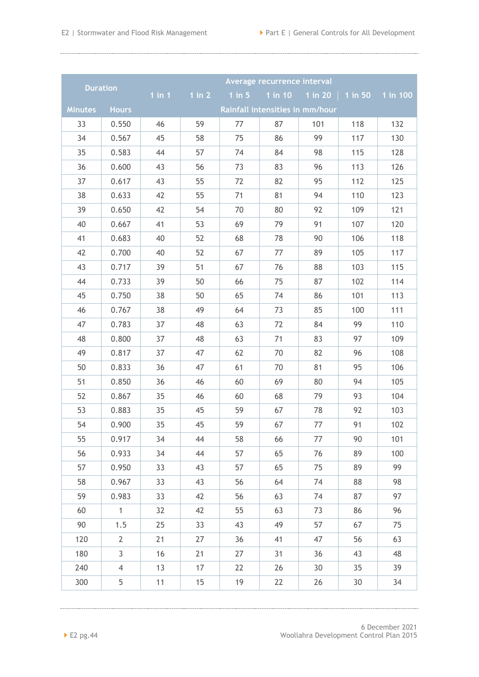| <b>Duration</b>                                                   |                |            |        |            | Average recurrence interval |           |           |          |
|-------------------------------------------------------------------|----------------|------------|--------|------------|-----------------------------|-----------|-----------|----------|
|                                                                   |                | $1$ in $1$ | 1 in 2 | $1$ in $5$ | 1 in 10                     | $1$ in 20 | $1$ in 50 | 1 in 100 |
| <b>Minutes</b><br><b>Hours</b><br>Rainfall intensities in mm/hour |                |            |        |            |                             |           |           |          |
| 33                                                                | 0.550          | 46         | 59     | 77         | 87                          | 101       | 118       | 132      |
| 34                                                                | 0.567          | 45         | 58     | 75         | 86                          | 99        | 117       | 130      |
| 35                                                                | 0.583          | 44         | 57     | 74         | 84                          | 98        | 115       | 128      |
| 36                                                                | 0.600          | 43         | 56     | 73         | 83                          | 96        | 113       | 126      |
| 37                                                                | 0.617          | 43         | 55     | 72         | 82                          | 95        | 112       | 125      |
| 38                                                                | 0.633          | 42         | 55     | 71         | 81                          | 94        | 110       | 123      |
| 39                                                                | 0.650          | 42         | 54     | 70         | 80                          | 92        | 109       | 121      |
| 40                                                                | 0.667          | 41         | 53     | 69         | 79                          | 91        | 107       | 120      |
| 41                                                                | 0.683          | 40         | 52     | 68         | 78                          | 90        | 106       | 118      |
| 42                                                                | 0.700          | 40         | 52     | 67         | 77                          | 89        | 105       | 117      |
| 43                                                                | 0.717          | 39         | 51     | 67         | 76                          | 88        | 103       | 115      |
| 44                                                                | 0.733          | 39         | 50     | 66         | 75                          | 87        | 102       | 114      |
| 45                                                                | 0.750          | 38         | 50     | 65         | 74                          | 86        | 101       | 113      |
| 46                                                                | 0.767          | 38         | 49     | 64         | 73                          | 85        | 100       | 111      |
| 47                                                                | 0.783          | 37         | 48     | 63         | 72                          | 84        | 99        | 110      |
| 48                                                                | 0.800          | 37         | 48     | 63         | 71                          | 83        | 97        | 109      |
| 49                                                                | 0.817          | 37         | 47     | 62         | 70                          | 82        | 96        | 108      |
| 50                                                                | 0.833          | 36         | 47     | 61         | 70                          | 81        | 95        | 106      |
| 51                                                                | 0.850          | 36         | 46     | 60         | 69                          | 80        | 94        | 105      |
| 52                                                                | 0.867          | 35         | 46     | 60         | 68                          | 79        | 93        | 104      |
| 53                                                                | 0.883          | 35         | 45     | 59         | 67                          | 78        | 92        | 103      |
| 54                                                                | 0.900          | 35         | 45     | 59         | 67                          | 77        | 91        | 102      |
| 55                                                                | 0.917          | 34         | 44     | 58         | 66                          | 77        | 90        | 101      |
| 56                                                                | 0.933          | 34         | 44     | 57         | 65                          | 76        | 89        | 100      |
| 57                                                                | 0.950          | 33         | 43     | 57         | 65                          | 75        | 89        | 99       |
| 58                                                                | 0.967          | 33         | 43     | 56         | 64                          | 74        | 88        | 98       |
| 59                                                                | 0.983          | 33         | 42     | 56         | 63                          | 74        | 87        | 97       |
| 60                                                                | $\mathbf{1}$   | 32         | 42     | 55         | 63                          | 73        | 86        | 96       |
| 90                                                                | 1.5            | 25         | 33     | 43         | 49                          | 57        | 67        | 75       |
| 120                                                               | $\overline{2}$ | 21         | 27     | 36         | 41                          | 47        | 56        | 63       |
| 180                                                               | 3              | 16         | 21     | 27         | 31                          | 36        | 43        | 48       |
| 240                                                               | $\overline{4}$ | 13         | 17     | 22         | 26                          | 30        | 35        | 39       |
| 300                                                               | 5              | 11         | 15     | 19         | 22                          | 26        | 30        | 34       |